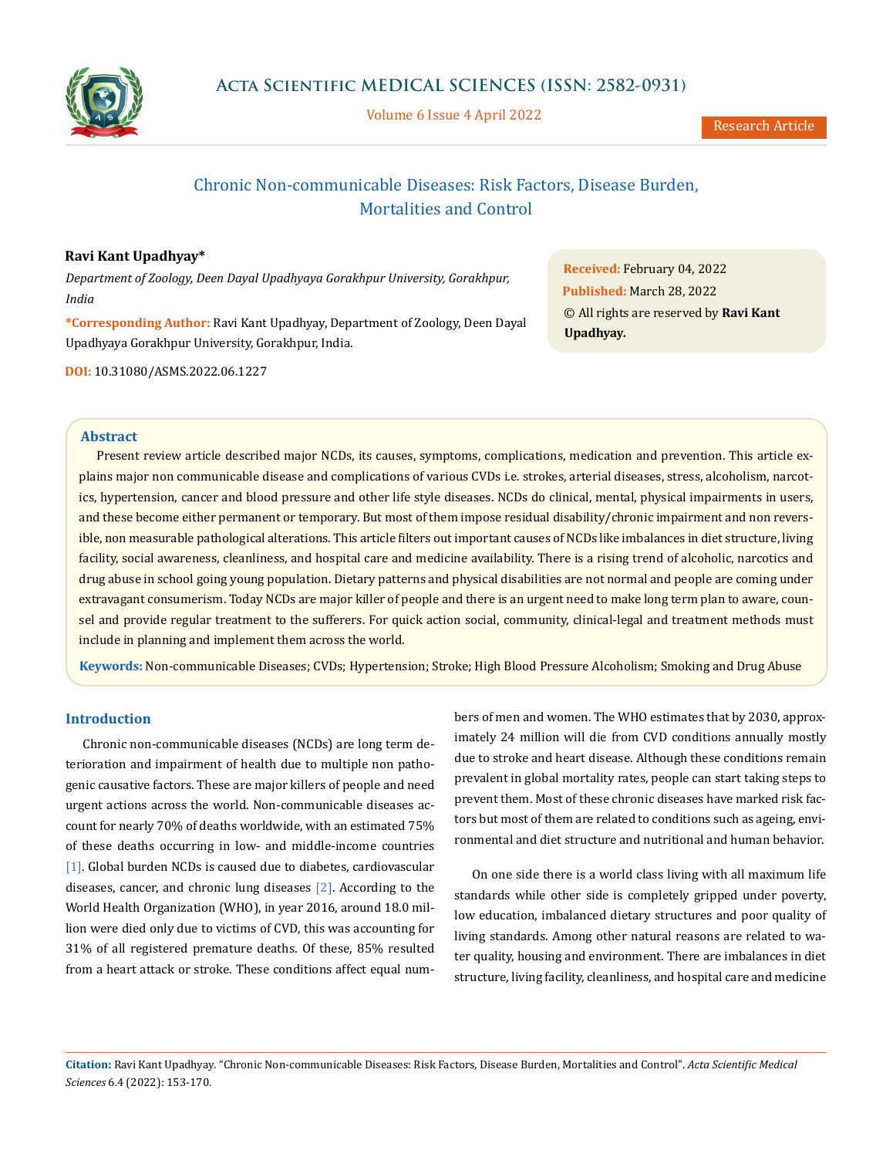

Volume 6 Issue 4 April 2022

# Chronic Non-communicable Diseases: Risk Factors, Disease Burden, Mortalities and Control

# **Ravi Kant Upadhyay\***

*Department of Zoology, Deen Dayal Upadhyaya Gorakhpur University, Gorakhpur, India*

**\*Corresponding Author:** Ravi Kant Upadhyay, Department of Zoology, Deen Dayal Upadhyaya Gorakhpur University, Gorakhpur, India.

**DOI:** [10.31080/ASMS.2022.06.1227](http:// actascientific.com/ASMS/pdf/ASMS-06-1227.pdf)

**Received:** February 04, 2022 **Published:** March 28, 2022 © All rights are reserved by **Ravi Kant Upadhyay***.*

### **Abstract**

Present review article described major NCDs, its causes, symptoms, complications, medication and prevention. This article explains major non communicable disease and complications of various CVDs i.e. strokes, arterial diseases, stress, alcoholism, narcotics, hypertension, cancer and blood pressure and other life style diseases. NCDs do clinical, mental, physical impairments in users, and these become either permanent or temporary. But most of them impose residual disability/chronic impairment and non reversible, non measurable pathological alterations. This article filters out important causes of NCDs like imbalances in diet structure, living facility, social awareness, cleanliness, and hospital care and medicine availability. There is a rising trend of alcoholic, narcotics and drug abuse in school going young population. Dietary patterns and physical disabilities are not normal and people are coming under extravagant consumerism. Today NCDs are major killer of people and there is an urgent need to make long term plan to aware, counsel and provide regular treatment to the sufferers. For quick action social, community, clinical-legal and treatment methods must include in planning and implement them across the world.

**Keywords:** Non-communicable Diseases; CVDs; Hypertension; Stroke; High Blood Pressure Alcoholism; Smoking and Drug Abuse

# **Introduction**

Chronic non-communicable diseases (NCDs) are long term deterioration and impairment of health due to multiple non pathogenic causative factors. These are major killers of people and need urgent actions across the world. Non-communicable diseases account for nearly 70% of deaths worldwide, with an estimated 75% of these deaths occurring in low- and middle-income countries [1]. Global burden NCDs is caused due to diabetes, cardiovascular diseases, cancer, and chronic lung diseases [2]. According to the World Health Organization (WHO), in year 2016, around 18.0 million were died only due to victims of CVD, this was accounting for 31% of all registered premature deaths. Of these, 85% resulted from a heart attack or stroke. These conditions affect equal numbers of men and women. The WHO estimates that by 2030, approximately 24 million will die from CVD conditions annually mostly due to stroke and heart disease. Although these conditions remain prevalent in global mortality rates, people can start taking steps to prevent them. Most of these chronic diseases have marked risk factors but most of them are related to conditions such as ageing, environmental and diet structure and nutritional and human behavior.

On one side there is a world class living with all maximum life standards while other side is completely gripped under poverty, low education, imbalanced dietary structures and poor quality of living standards. Among other natural reasons are related to water quality, housing and environment. There are imbalances in diet structure, living facility, cleanliness, and hospital care and medicine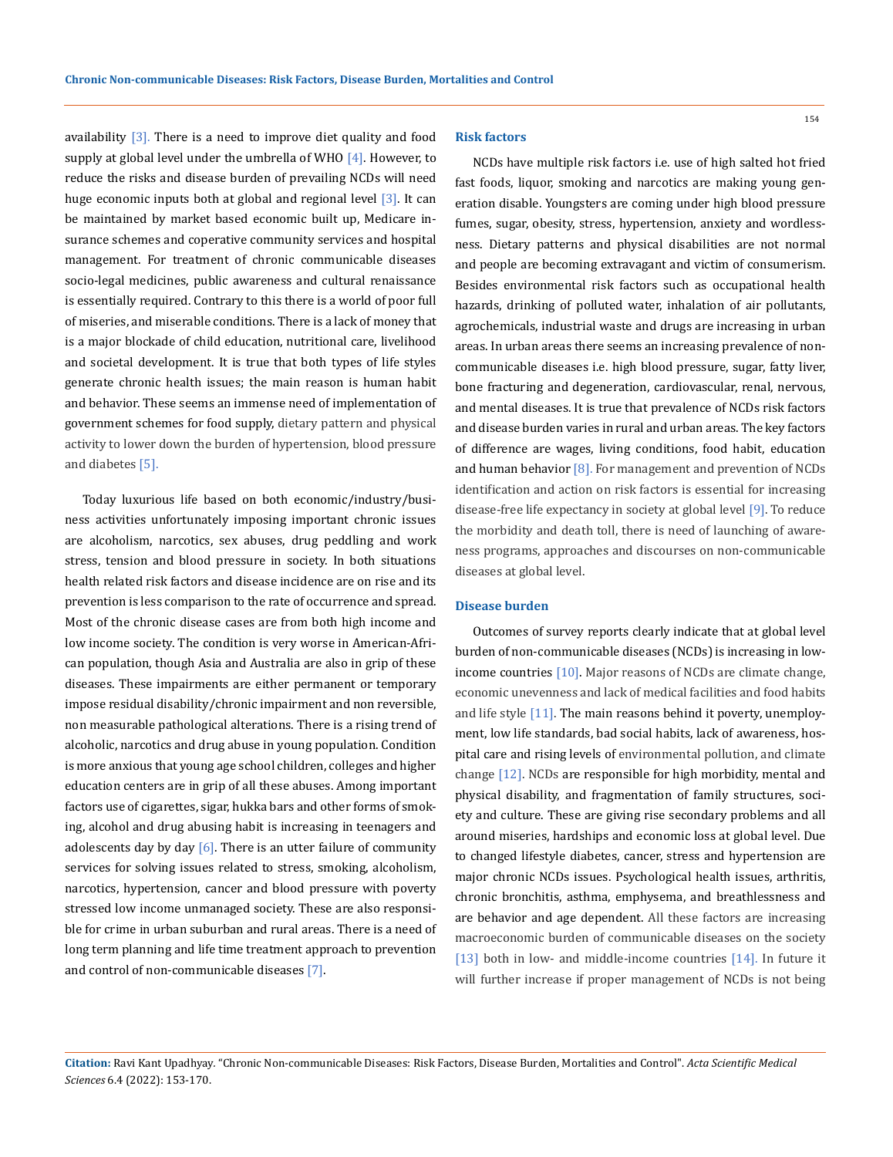availability  $[3]$ . There is a need to improve diet quality and food supply at global level under the umbrella of WHO  $[4]$ . However, to reduce the risks and disease burden of prevailing NCDs will need huge economic inputs both at global and regional level [3]. It can be maintained by market based economic built up, Medicare insurance schemes and coperative community services and hospital management. For treatment of chronic communicable diseases socio-legal medicines, public awareness and cultural renaissance is essentially required. Contrary to this there is a world of poor full of miseries, and miserable conditions. There is a lack of money that is a major blockade of child education, nutritional care, livelihood and societal development. It is true that both types of life styles generate chronic health issues; the main reason is human habit and behavior. These seems an immense need of implementation of government schemes for food supply, dietary pattern and physical activity to lower down the burden of hypertension, blood pressure and diabetes [5].

Today luxurious life based on both economic/industry/business activities unfortunately imposing important chronic issues are alcoholism, narcotics, sex abuses, drug peddling and work stress, tension and blood pressure in society. In both situations health related risk factors and disease incidence are on rise and its prevention is less comparison to the rate of occurrence and spread. Most of the chronic disease cases are from both high income and low income society. The condition is very worse in American-African population, though Asia and Australia are also in grip of these diseases. These impairments are either permanent or temporary impose residual disability/chronic impairment and non reversible, non measurable pathological alterations. There is a rising trend of alcoholic, narcotics and drug abuse in young population. Condition is more anxious that young age school children, colleges and higher education centers are in grip of all these abuses. Among important factors use of cigarettes, sigar, hukka bars and other forms of smoking, alcohol and drug abusing habit is increasing in teenagers and adolescents day by day  $[6]$ . There is an utter failure of community services for solving issues related to stress, smoking, alcoholism, narcotics, hypertension, cancer and blood pressure with poverty stressed low income unmanaged society. These are also responsible for crime in urban suburban and rural areas. There is a need of long term planning and life time treatment approach to prevention and control of non-communicable diseases [7].

### **Risk factors**

NCDs have multiple risk factors i.e. use of high salted hot fried fast foods, liquor, smoking and narcotics are making young generation disable. Youngsters are coming under high blood pressure fumes, sugar, obesity, stress, hypertension, anxiety and wordlessness. Dietary patterns and physical disabilities are not normal and people are becoming extravagant and victim of consumerism. Besides environmental risk factors such as occupational health hazards, drinking of polluted water, inhalation of air pollutants, agrochemicals, industrial waste and drugs are increasing in urban areas. In urban areas there seems an increasing prevalence of noncommunicable diseases i.e. high blood pressure, sugar, fatty liver, bone fracturing and degeneration, cardiovascular, renal, nervous, and mental diseases. It is true that prevalence of NCDs risk factors and disease burden varies in rural and urban areas. The key factors of difference are wages, living conditions, food habit, education and human behavior  $[8]$ . For management and prevention of NCDs identification and action on risk factors is essential for increasing disease-free life expectancy in society at global level [9]. To reduce the morbidity and death toll, there is need of launching of awareness programs, approaches and discourses on non-communicable diseases at global level.

#### **Disease burden**

Outcomes of survey reports clearly indicate that at global level burden of non-communicable diseases (NCDs) is increasing in lowincome countries [10]. Major reasons of NCDs are climate change, economic unevenness and lack of medical facilities and food habits and life style [11]. The main reasons behind it poverty, unemployment, low life standards, bad social habits, lack of awareness, hospital care and rising levels of environmental pollution, and climate change [12]. NCDs are responsible for high morbidity, mental and physical disability, and fragmentation of family structures, society and culture. These are giving rise secondary problems and all around miseries, hardships and economic loss at global level. Due to changed lifestyle diabetes, cancer, stress and hypertension are major chronic NCDs issues. Psychological health issues, arthritis, chronic bronchitis, asthma, emphysema, and breathlessness and are behavior and age dependent. All these factors are increasing macroeconomic burden of communicable diseases on the society [13] both in low- and middle-income countries [14]. In future it will further increase if proper management of NCDs is not being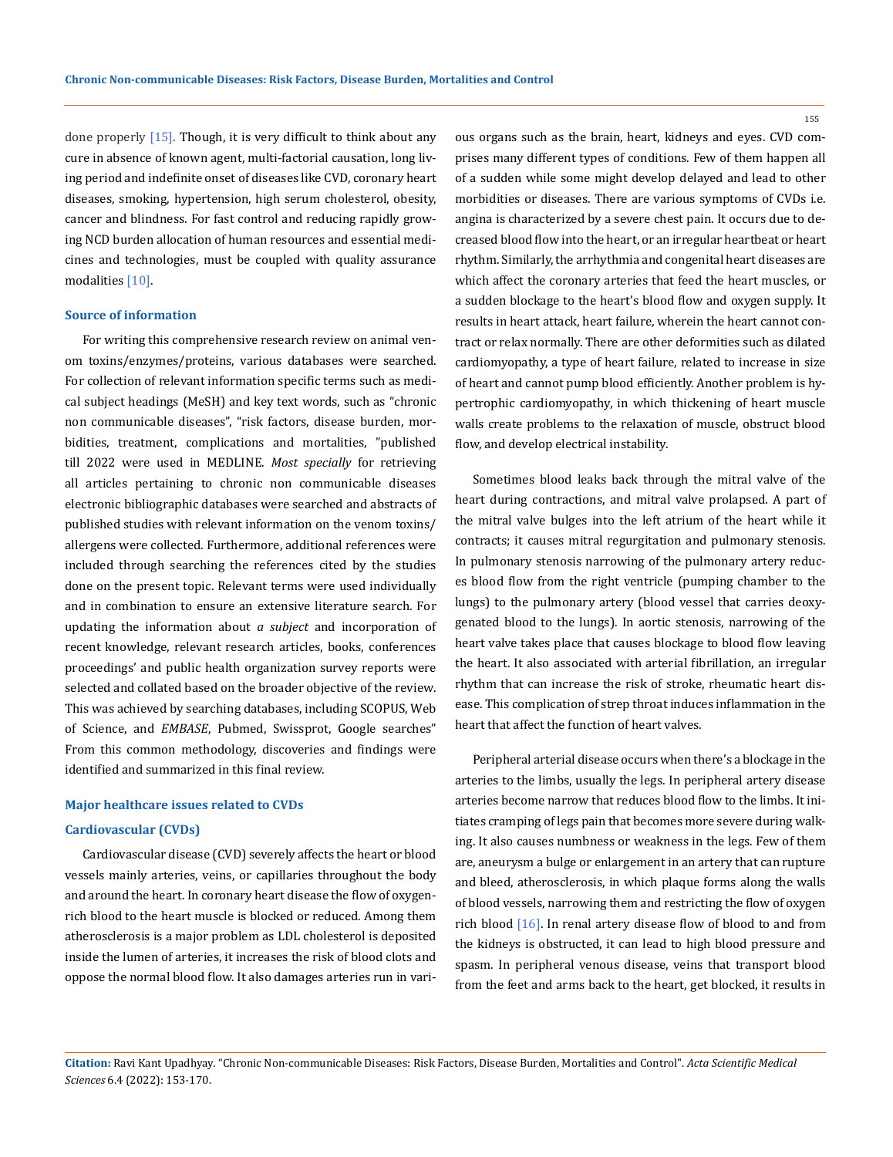done properly [15]. Though, it is very difficult to think about any cure in absence of known agent, multi-factorial causation, long living period and indefinite onset of diseases like CVD, coronary heart diseases, smoking, hypertension, high serum cholesterol, obesity, cancer and blindness. For fast control and reducing rapidly growing NCD burden allocation of human resources and essential medicines and technologies, must be coupled with quality assurance modalities [10].

#### **Source of information**

For writing this comprehensive research review on animal venom toxins/enzymes/proteins, various databases were searched. For collection of relevant information specific terms such as medical subject headings (MeSH) and key text words, such as "chronic non communicable diseases", "risk factors, disease burden, morbidities, treatment, complications and mortalities, "published till 2022 were used in MEDLINE. *Most specially* for retrieving all articles pertaining to chronic non communicable diseases electronic bibliographic databases were searched and abstracts of published studies with relevant information on the venom toxins/ allergens were collected. Furthermore, additional references were included through searching the references cited by the studies done on the present topic. Relevant terms were used individually and in combination to ensure an extensive literature search. For updating the information about *a subject* and incorporation of recent knowledge, relevant research articles, books, conferences proceedings' and public health organization survey reports were selected and collated based on the broader objective of the review. This was achieved by searching databases, including SCOPUS, Web of Science, and *EMBASE*, Pubmed, Swissprot, Google searches" From this common methodology, discoveries and findings were identified and summarized in this final review.

#### **Major healthcare issues related to CVDs**

#### **Cardiovascular (CVDs)**

Cardiovascular disease (CVD) severely affects the heart or blood vessels mainly arteries, veins, or capillaries throughout the body and around the heart. In coronary heart disease the flow of oxygenrich blood to the heart muscle is blocked or reduced. Among them atherosclerosis is a major problem as LDL cholesterol is deposited inside the lumen of arteries, it increases the risk of blood clots and oppose the normal blood flow. It also damages arteries run in various organs such as the brain, heart, kidneys and eyes. CVD comprises many different types of conditions. Few of them happen all of a sudden while some might develop delayed and lead to other morbidities or diseases. There are various symptoms of CVDs i.e. angina is characterized by a severe chest pain. It occurs due to decreased blood flow into the heart, or an irregular heartbeat or heart rhythm. Similarly, the arrhythmia and congenital heart diseases are which affect the coronary arteries that feed the heart muscles, or a sudden blockage to the heart's blood flow and oxygen supply. It results in heart attack, heart failure, wherein the heart cannot contract or relax normally. There are other deformities such as dilated cardiomyopathy, a type of heart failure, related to increase in size of heart and cannot pump blood efficiently. Another problem is hypertrophic cardiomyopathy, in which thickening of heart muscle walls create problems to the relaxation of muscle, obstruct blood flow, and develop electrical instability.

Sometimes blood leaks back through the mitral valve of the heart during contractions, and mitral valve prolapsed. A part of the mitral valve bulges into the left atrium of the heart while it contracts; it causes mitral regurgitation and pulmonary stenosis. In pulmonary stenosis narrowing of the pulmonary artery reduces blood flow from the right ventricle (pumping chamber to the lungs) to the pulmonary artery (blood vessel that carries deoxygenated blood to the lungs). In aortic stenosis, narrowing of the heart valve takes place that causes blockage to blood flow leaving the heart. It also associated with arterial fibrillation, an irregular rhythm that can increase the risk of stroke, rheumatic heart disease. This complication of strep throat induces inflammation in the heart that affect the function of heart valves.

Peripheral arterial disease occurs when there's a blockage in the arteries to the limbs, usually the legs. In peripheral artery disease arteries become narrow that reduces blood flow to the limbs. It initiates cramping of legs pain that becomes more severe during walking. It also causes numbness or weakness in the legs. Few of them are, aneurysm a bulge or enlargement in an artery that can rupture and bleed, atherosclerosis, in which plaque forms along the walls of blood vessels, narrowing them and restricting the flow of oxygen rich blood [16]. In renal artery disease flow of blood to and from the kidneys is obstructed, it can lead to high blood pressure and spasm. In peripheral venous disease, veins that transport blood from the feet and arms back to the heart, get blocked, it results in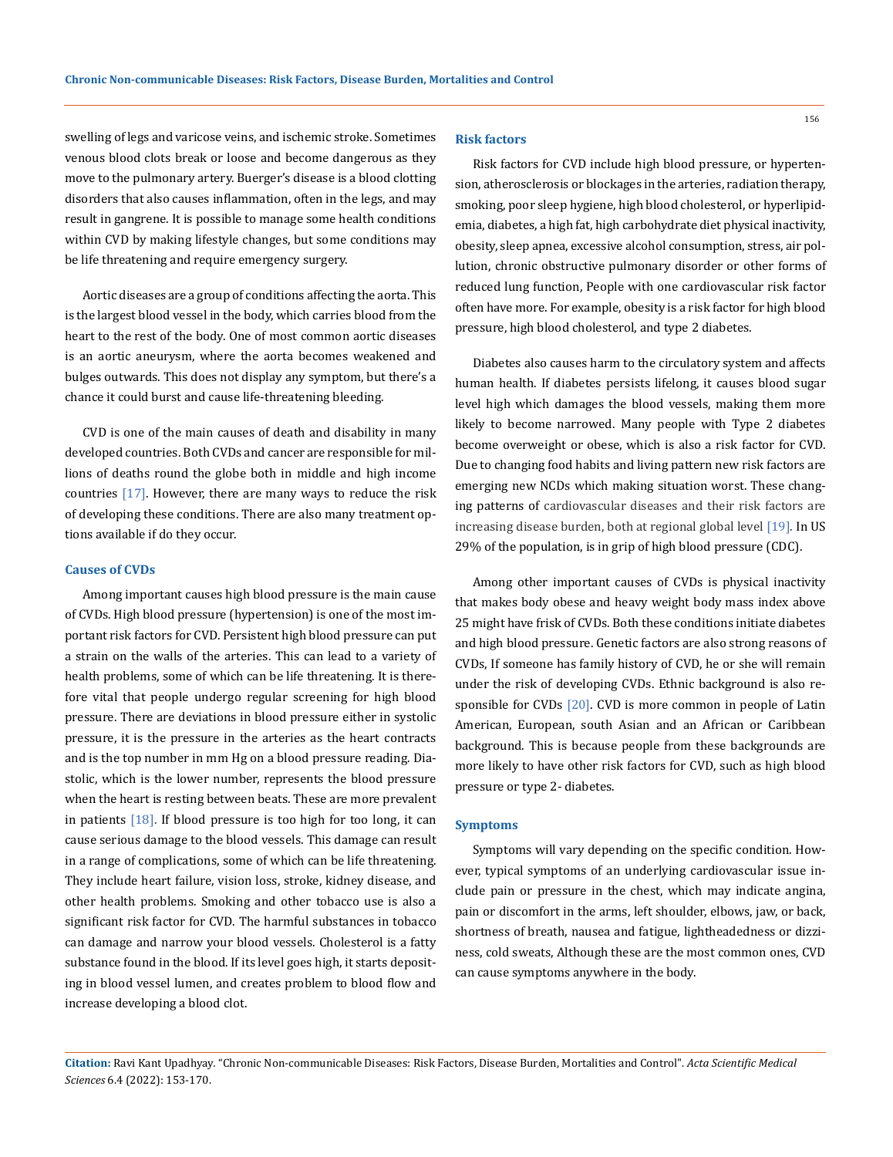swelling of legs and varicose veins, and ischemic stroke. Sometimes venous blood clots break or loose and become dangerous as they move to the pulmonary artery. Buerger's disease is a blood clotting disorders that also causes inflammation, often in the legs, and may result in gangrene. It is possible to manage some health conditions within CVD by making lifestyle changes, but some conditions may be life threatening and require emergency surgery.

Aortic diseases are a group of conditions affecting the aorta. This is the largest blood vessel in the body, which carries blood from the heart to the rest of the body. One of most common aortic diseases is an aortic aneurysm, where the aorta becomes weakened and bulges outwards. This does not display any symptom, but there's a chance it could burst and cause life-threatening bleeding.

CVD is one of the main causes of death and disability in many developed countries. Both CVDs and cancer are responsible for millions of deaths round the globe both in middle and high income countries [17]. However, there are many ways to reduce the risk of developing these conditions. There are also many treatment options available if do they occur.

### **Causes of CVDs**

Among important causes high blood pressure is the main cause of CVDs. High blood pressure (hypertension) is one of the most important risk factors for CVD. Persistent high blood pressure can put a strain on the walls of the arteries. This can lead to a variety of health problems, some of which can be life threatening. It is therefore vital that people undergo regular screening for high blood pressure. There are deviations in blood pressure either in systolic pressure, it is the pressure in the arteries as the heart contracts and is the top number in mm Hg on a blood pressure reading. Diastolic, which is the lower number, represents the blood pressure when the heart is resting between beats. These are more prevalent in patients  $[18]$ . If blood pressure is too high for too long, it can cause serious damage to the blood vessels. This damage can result in a range of complications, some of which can be life threatening. They include heart failure, vision loss, stroke, kidney disease, and other health problems. Smoking and other tobacco use is also a significant risk factor for CVD. The harmful substances in tobacco can damage and narrow your blood vessels. Cholesterol is a fatty substance found in the blood. If its level goes high, it starts depositing in blood vessel lumen, and creates problem to blood flow and increase developing a blood clot.

### **Risk factors**

Risk factors for CVD include high blood pressure, or hypertension, atherosclerosis or blockages in the arteries, radiation therapy, smoking, poor sleep hygiene, high blood cholesterol, or hyperlipidemia, diabetes, a high fat, high carbohydrate diet physical inactivity, obesity, sleep apnea, excessive alcohol consumption, stress, air pollution, chronic obstructive pulmonary disorder or other forms of reduced lung function, People with one cardiovascular risk factor often have more. For example, obesity is a risk factor for high blood pressure, high blood cholesterol, and type 2 diabetes.

Diabetes also causes harm to the circulatory system and affects human health. If diabetes persists lifelong, it causes blood sugar level high which damages the blood vessels, making them more likely to become narrowed. Many people with Type 2 diabetes become overweight or obese, which is also a risk factor for CVD. Due to changing food habits and living pattern new risk factors are emerging new NCDs which making situation worst. These changing patterns of cardiovascular diseases and their risk factors are increasing disease burden, both at regional global level [19]. In US 29% of the population, is in grip of high blood pressure (CDC).

Among other important causes of CVDs is physical inactivity that makes body obese and heavy weight body mass index above 25 might have frisk of CVDs. Both these conditions initiate diabetes and high blood pressure. Genetic factors are also strong reasons of CVDs, If someone has family history of CVD, he or she will remain under the risk of developing CVDs. Ethnic background is also responsible for CVDs [20]. CVD is more common in people of Latin American, European, south Asian and an African or Caribbean background. This is because people from these backgrounds are more likely to have other risk factors for CVD, such as high blood pressure or type 2- diabetes.

#### **Symptoms**

Symptoms will vary depending on the specific condition. However, typical symptoms of an underlying cardiovascular issue include pain or pressure in the chest, which may indicate angina, pain or discomfort in the arms, left shoulder, elbows, jaw, or back, shortness of breath, nausea and fatigue, lightheadedness or dizziness, cold sweats, Although these are the most common ones, CVD can cause symptoms anywhere in the body.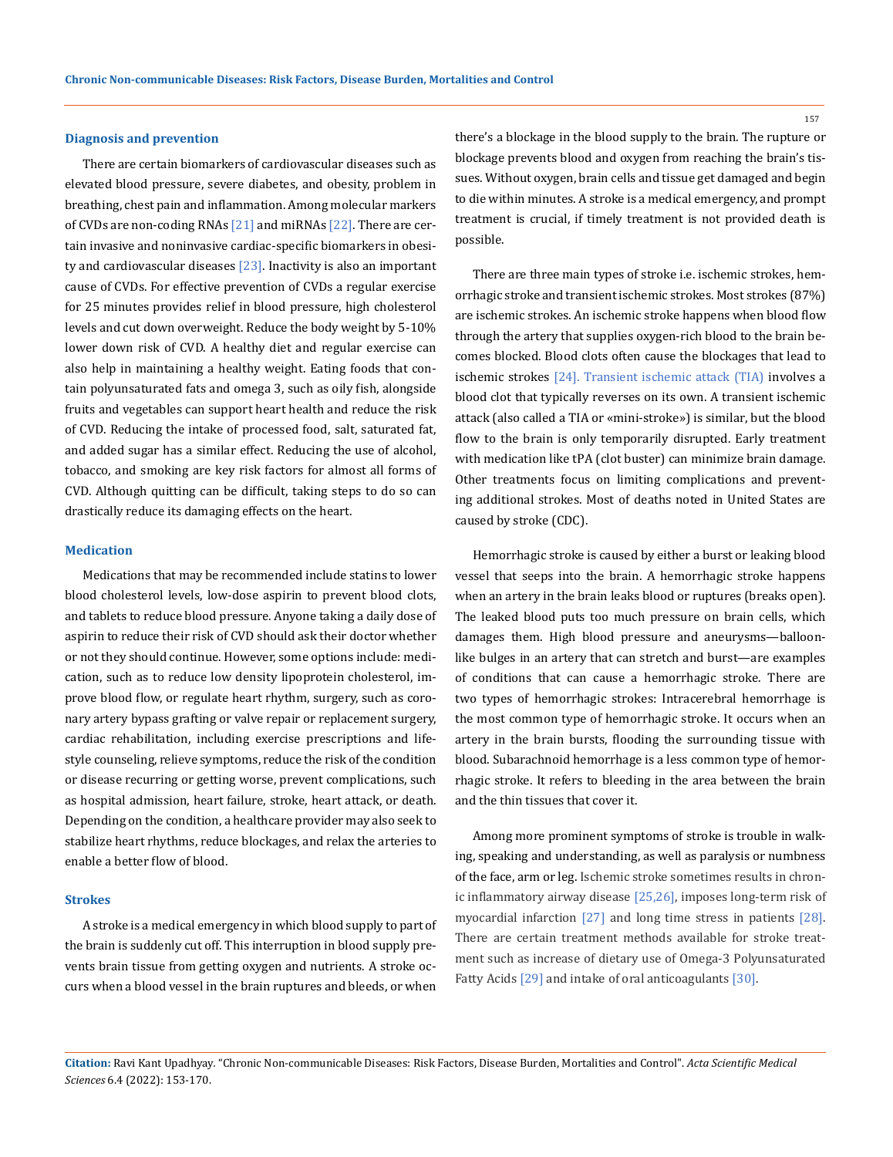#### **Diagnosis and prevention**

There are certain biomarkers of cardiovascular diseases such as elevated blood pressure, severe diabetes, and obesity, problem in breathing, chest pain and inflammation. Among molecular markers of CVDs are non-coding RNAs [21] and miRNAs [22]. There are certain invasive and noninvasive cardiac-specific biomarkers in obesity and cardiovascular diseases  $[23]$ . Inactivity is also an important cause of CVDs. For effective prevention of CVDs a regular exercise for 25 minutes provides relief in blood pressure, high cholesterol levels and cut down overweight. Reduce the body weight by 5-10% lower down risk of CVD. A healthy diet and regular exercise can also help in maintaining a healthy weight. Eating foods that contain polyunsaturated fats and omega 3, such as oily fish, alongside fruits and vegetables can support heart health and reduce the risk of CVD. Reducing the intake of processed food, salt, saturated fat, and added sugar has a similar effect. Reducing the use of alcohol, tobacco, and smoking are key risk factors for almost all forms of CVD. Although quitting can be difficult, taking steps to do so can drastically reduce its damaging effects on the heart.

#### **Medication**

Medications that may be recommended include statins to lower blood cholesterol levels, low-dose aspirin to prevent blood clots, and tablets to reduce blood pressure. Anyone taking a daily dose of aspirin to reduce their risk of CVD should ask their doctor whether or not they should continue. However, some options include: medication, such as to reduce low density lipoprotein cholesterol, improve blood flow, or regulate heart rhythm, surgery, such as coronary artery bypass grafting or valve repair or replacement surgery, cardiac rehabilitation, including exercise prescriptions and lifestyle counseling, relieve symptoms, reduce the risk of the condition or disease recurring or getting worse, prevent complications, such as hospital admission, heart failure, stroke, heart attack, or death. Depending on the condition, a healthcare provider may also seek to stabilize heart rhythms, reduce blockages, and relax the arteries to enable a better flow of blood.

### **Strokes**

A stroke is a medical emergency in which blood supply to part of the brain is suddenly cut off. This interruption in blood supply prevents brain tissue from getting oxygen and nutrients. A stroke occurs when a blood vessel in the brain ruptures and bleeds, or when

there's a blockage in the blood supply to the brain. The rupture or blockage prevents blood and oxygen from reaching the brain's tissues. Without oxygen, brain cells and tissue get damaged and begin to die within minutes. A stroke is a medical emergency, and prompt treatment is crucial, if timely treatment is not provided death is possible.

There are three main types of stroke i.e. ischemic strokes, hemorrhagic stroke and transient ischemic strokes. Most strokes (87%) are ischemic strokes. An ischemic stroke happens when blood flow through the artery that supplies oxygen-rich blood to the brain becomes blocked. Blood clots often cause the blockages that lead to ischemic strokes [24]. Transient ischemic attack (TIA) involves a blood clot that typically reverses on its own. A transient ischemic attack (also called a TIA or «mini-stroke») is similar, but the blood flow to the brain is only temporarily disrupted. Early treatment with medication like tPA (clot buster) can minimize brain damage. Other treatments focus on limiting complications and preventing additional strokes. Most of deaths noted in United States are caused by stroke (CDC).

Hemorrhagic stroke is caused by either a burst or leaking blood vessel that seeps into the brain. A hemorrhagic stroke happens when an artery in the brain leaks blood or ruptures (breaks open). The leaked blood puts too much pressure on brain cells, which damages them. High blood pressure and aneurysms—balloonlike bulges in an artery that can stretch and burst—are examples of conditions that can cause a hemorrhagic stroke. There are two types of hemorrhagic strokes: Intracerebral hemorrhage is the most common type of hemorrhagic stroke. It occurs when an artery in the brain bursts, flooding the surrounding tissue with blood. Subarachnoid hemorrhage is a less common type of hemorrhagic stroke. It refers to bleeding in the area between the brain and the thin tissues that cover it.

Among more prominent symptoms of stroke is trouble in walking, speaking and understanding, as well as paralysis or numbness of the face, arm or leg. Ischemic stroke sometimes results in chronic inflammatory airway disease [25,26], imposes long-term risk of myocardial infarction [27] and long time stress in patients [28]. There are certain treatment methods available for stroke treatment such as increase of dietary use of Omega-3 Polyunsaturated Fatty Acids [29] and intake of oral anticoagulants [30].

**Citation:** Ravi Kant Upadhyay*.* "Chronic Non-communicable Diseases: Risk Factors, Disease Burden, Mortalities and Control". *Acta Scientific Medical Sciences* 6.4 (2022): 153-170.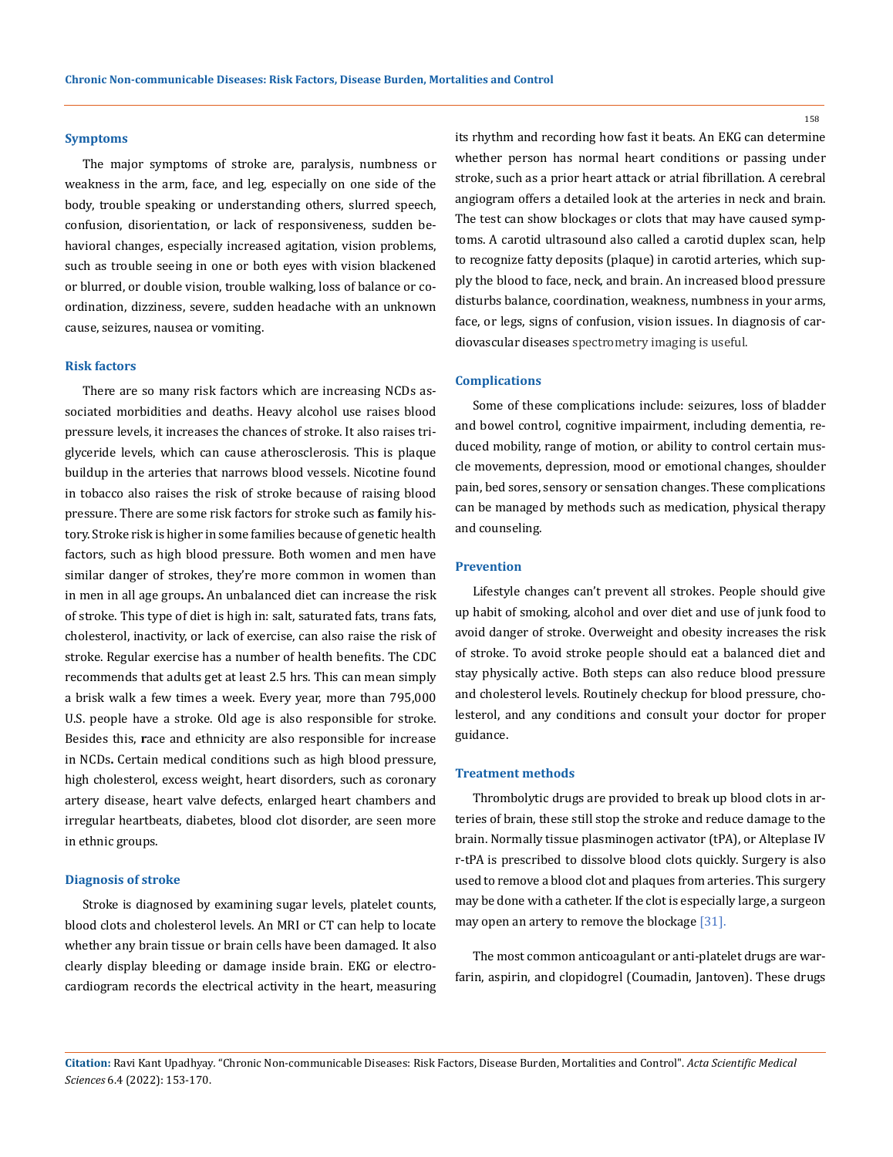#### **Symptoms**

The major symptoms of stroke are, paralysis, numbness or weakness in the arm, face, and leg, especially on one side of the body, trouble speaking or understanding others, slurred speech, confusion, disorientation, or lack of responsiveness, sudden behavioral changes, especially increased agitation, vision problems, such as trouble seeing in one or both eyes with vision blackened or blurred, or double vision, trouble walking, loss of balance or coordination, dizziness, severe, sudden headache with an unknown cause, seizures, nausea or vomiting.

#### **Risk factors**

There are so many risk factors which are increasing NCDs associated morbidities and deaths. Heavy alcohol use raises blood pressure levels, it increases the chances of stroke. It also raises triglyceride levels, which can cause atherosclerosis. This is plaque buildup in the arteries that narrows blood vessels. Nicotine found in tobacco also raises the risk of stroke because of raising blood pressure. There are some risk factors for stroke such as **f**amily history. Stroke risk is higher in some families because of genetic health factors, such as high blood pressure. Both women and men have similar danger of strokes, they're more common in women than in men in all age groups**.** An unbalanced diet can increase the risk of stroke. This type of diet is high in: salt, saturated fats, trans fats, cholesterol, inactivity, or lack of exercise, can also raise the risk of stroke. Regular exercise has a number of health benefits. The CDC recommends that adults get at least 2.5 hrs. This can mean simply a brisk walk a few times a week. Every year, more than 795,000 U.S. people have a stroke. Old age is also responsible for stroke. Besides this, **r**ace and ethnicity are also responsible for increase in NCDs**.** Certain medical conditions such as high blood pressure, high cholesterol, excess weight, heart disorders, such as coronary artery disease, heart valve defects, enlarged heart chambers and irregular heartbeats, diabetes, blood clot disorder, are seen more in ethnic groups.

#### **Diagnosis of stroke**

Stroke is diagnosed by examining sugar levels, platelet counts, blood clots and cholesterol levels. An MRI or CT can help to locate whether any brain tissue or brain cells have been damaged. It also clearly display bleeding or damage inside brain. EKG or electrocardiogram records the electrical activity in the heart, measuring its rhythm and recording how fast it beats. An EKG can determine whether person has normal heart conditions or passing under stroke, such as a prior heart attack or atrial fibrillation. A cerebral angiogram offers a detailed look at the arteries in neck and brain. The test can show blockages or clots that may have caused symptoms. A carotid ultrasound also called a carotid duplex scan, help to recognize fatty deposits (plaque) in carotid arteries, which supply the blood to face, neck, and brain. An increased blood pressure disturbs balance, coordination, weakness, numbness in your arms, face, or legs, signs of confusion, vision issues. In diagnosis of cardiovascular diseases spectrometry imaging is useful.

#### **Complications**

Some of these complications include: seizures, loss of bladder and bowel control, cognitive impairment, including dementia, reduced mobility, range of motion, or ability to control certain muscle movements, depression, mood or emotional changes, shoulder pain, bed sores, sensory or sensation changes. These complications can be managed by methods such as medication, physical therapy and counseling.

#### **Prevention**

Lifestyle changes can't prevent all strokes. People should give up habit of smoking, alcohol and over diet and use of junk food to avoid danger of stroke. Overweight and obesity increases the risk of stroke. To avoid stroke people should eat a balanced diet and stay physically active. Both steps can also reduce blood pressure and cholesterol levels. Routinely checkup for blood pressure, cholesterol, and any conditions and consult your doctor for proper guidance.

#### **Treatment methods**

Thrombolytic drugs are provided to break up blood clots in arteries of brain, these still stop the stroke and reduce damage to the brain. Normally tissue plasminogen activator (tPA), or Alteplase IV r-tPA is prescribed to dissolve blood clots quickly. Surgery is also used to remove a blood clot and plaques from arteries. This surgery may be done with a catheter. If the clot is especially large, a surgeon may open an artery to remove the blockage [31].

The most common anticoagulant or anti-platelet drugs are warfarin, aspirin, and clopidogrel (Coumadin, Jantoven). These drugs

**Citation:** Ravi Kant Upadhyay*.* "Chronic Non-communicable Diseases: Risk Factors, Disease Burden, Mortalities and Control". *Acta Scientific Medical Sciences* 6.4 (2022): 153-170.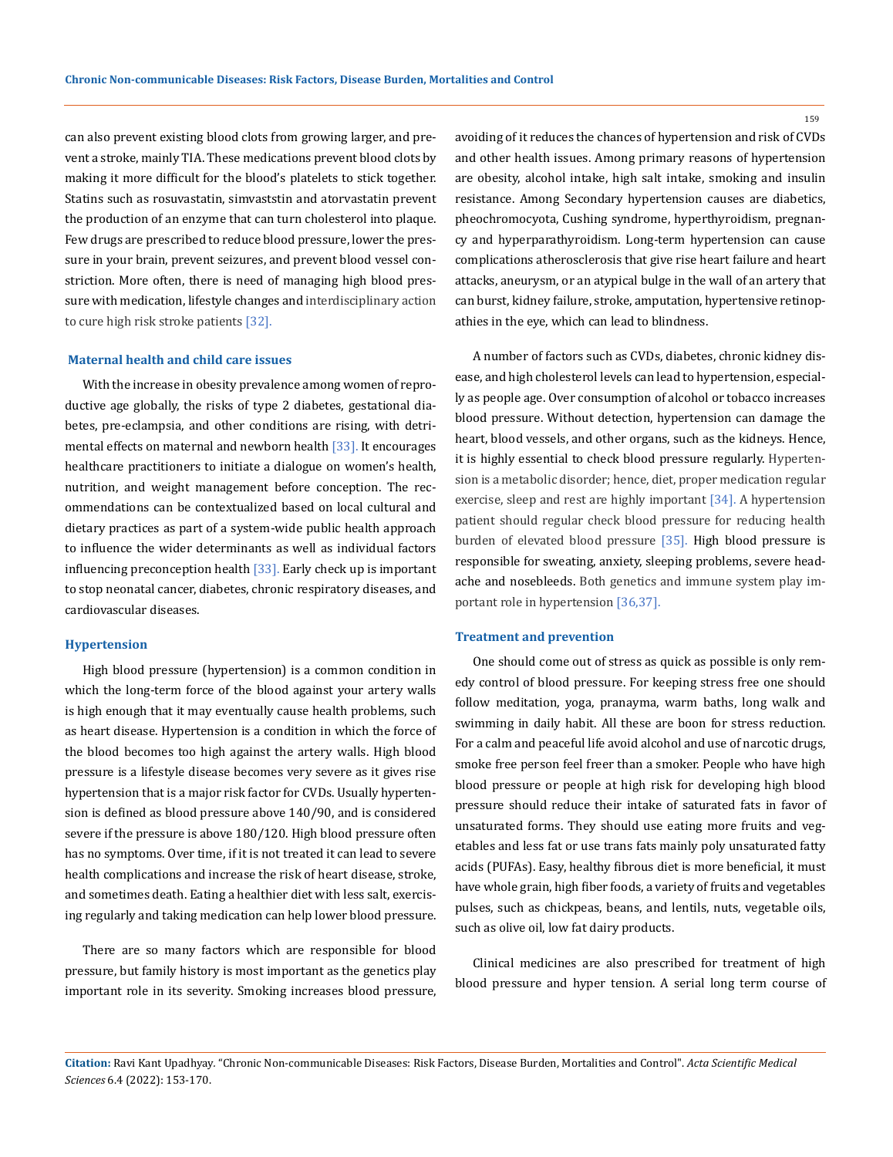can also prevent existing blood clots from growing larger, and prevent a stroke, mainly TIA. These medications prevent blood clots by making it more difficult for the blood's platelets to stick together. Statins such as rosuvastatin, simvaststin and atorvastatin prevent the production of an enzyme that can turn cholesterol into plaque. Few drugs are prescribed to reduce blood pressure, lower the pressure in your brain, prevent seizures, and prevent blood vessel constriction. More often, there is need of managing high blood pressure with medication, lifestyle changes and interdisciplinary action to cure high risk stroke patients [32].

### **Maternal health and child care issues**

With the increase in obesity prevalence among women of reproductive age globally, the risks of type 2 diabetes, gestational diabetes, pre-eclampsia, and other conditions are rising, with detrimental effects on maternal and newborn health [33]. It encourages healthcare practitioners to initiate a dialogue on women's health, nutrition, and weight management before conception. The recommendations can be contextualized based on local cultural and dietary practices as part of a system-wide public health approach to influence the wider determinants as well as individual factors influencing preconception health [33]. Early check up is important to stop neonatal cancer, diabetes, chronic respiratory diseases, and cardiovascular diseases.

#### **Hypertension**

High blood pressure (hypertension) is a common condition in which the long-term force of the blood against your artery walls is high enough that it may eventually cause health problems, such as heart disease. Hypertension is a condition in which the force of the blood becomes too high against the artery walls. High blood pressure is a lifestyle disease becomes very severe as it gives rise hypertension that is a major risk factor for CVDs. Usually hypertension is defined as blood pressure above 140/90, and is considered severe if the pressure is above 180/120. High blood pressure often has no symptoms. Over time, if it is not treated it can lead to severe health complications and increase the risk of heart disease, stroke, and sometimes death. Eating a healthier diet with less salt, exercising regularly and taking medication can help lower blood pressure.

There are so many factors which are responsible for blood pressure, but family history is most important as the genetics play important role in its severity. Smoking increases blood pressure, avoiding of it reduces the chances of hypertension and risk of CVDs and other health issues. Among primary reasons of hypertension are obesity, alcohol intake, high salt intake, smoking and insulin resistance. Among Secondary hypertension causes are diabetics, pheochromocyota, Cushing syndrome, hyperthyroidism, pregnancy and hyperparathyroidism. Long-term hypertension can cause complications atherosclerosis that give rise heart failure and heart attacks, aneurysm, or an atypical bulge in the wall of an artery that can burst, kidney failure, stroke, amputation, hypertensive retinopathies in the eye, which can lead to blindness.

A number of factors such as CVDs, diabetes, chronic kidney disease, and high cholesterol levels can lead to hypertension, especially as people age. Over consumption of alcohol or tobacco increases blood pressure. Without detection, hypertension can damage the heart, blood vessels, and other organs, such as the kidneys. Hence, it is highly essential to check blood pressure regularly. Hypertension is a metabolic disorder; hence, diet, proper medication regular exercise, sleep and rest are highly important [34]. A hypertension patient should regular check blood pressure for reducing health burden of elevated blood pressure [35]. High blood pressure is responsible for sweating, anxiety, sleeping problems, severe headache and nosebleeds. Both genetics and immune system play important role in hypertension [36,37].

### **Treatment and prevention**

One should come out of stress as quick as possible is only remedy control of blood pressure. For keeping stress free one should follow meditation, yoga, pranayma, warm baths, long walk and swimming in daily habit. All these are boon for stress reduction. For a calm and peaceful life avoid alcohol and use of narcotic drugs, smoke free person feel freer than a smoker. People who have high blood pressure or people at high risk for developing high blood pressure should reduce their intake of saturated fats in favor of unsaturated forms. They should use eating more fruits and vegetables and less fat or use trans fats mainly poly unsaturated fatty acids (PUFAs). Easy, healthy fibrous diet is more beneficial, it must have whole grain, high fiber foods, a variety of fruits and vegetables pulses, such as chickpeas, beans, and lentils, nuts, vegetable oils, such as olive oil, low fat dairy products.

Clinical medicines are also prescribed for treatment of high blood pressure and hyper tension. A serial long term course of

**Citation:** Ravi Kant Upadhyay*.* "Chronic Non-communicable Diseases: Risk Factors, Disease Burden, Mortalities and Control". *Acta Scientific Medical Sciences* 6.4 (2022): 153-170.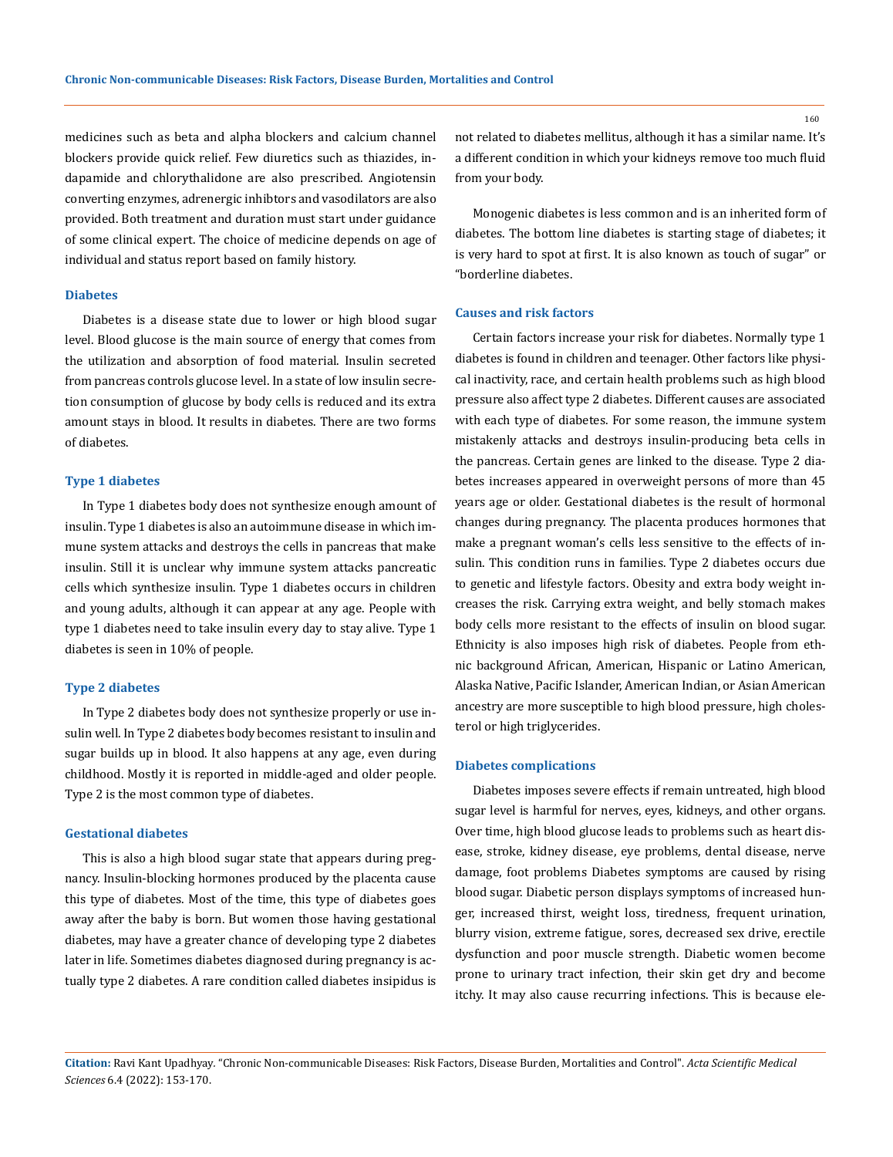medicines such as beta and alpha blockers and calcium channel blockers provide quick relief. Few diuretics such as thiazides, indapamide and chlorythalidone are also prescribed. Angiotensin converting enzymes, adrenergic inhibtors and vasodilators are also provided. Both treatment and duration must start under guidance of some clinical expert. The choice of medicine depends on age of individual and status report based on family history.

### **Diabetes**

Diabetes is a disease state due to lower or high blood sugar level. Blood glucose is the main source of energy that comes from the utilization and absorption of food material. Insulin secreted from pancreas controls glucose level. In a state of low insulin secretion consumption of glucose by body cells is reduced and its extra amount stays in blood. It results in diabetes. There are two forms of diabetes.

### **Type 1 diabetes**

In Type 1 diabetes body does not synthesize enough amount of insulin. Type 1 diabetes is also an autoimmune disease in which immune system attacks and destroys the cells in pancreas that make insulin. Still it is unclear why immune system attacks pancreatic cells which synthesize insulin. Type 1 diabetes occurs in children and young adults, although it can appear at any age. People with type 1 diabetes need to take insulin every day to stay alive. Type 1 diabetes is seen in 10% of people.

#### **Type 2 diabetes**

In Type 2 diabetes body does not synthesize properly or use insulin well. In Type 2 diabetes body becomes resistant to insulin and sugar builds up in blood. It also happens at any age, even during childhood. Mostly it is reported in middle-aged and older people. Type 2 is the most common type of diabetes.

### **Gestational diabetes**

This is also a high blood sugar state that appears during pregnancy. Insulin-blocking hormones produced by the placenta cause this type of diabetes. Most of the time, this type of diabetes goes away after the baby is born. But women those having gestational diabetes, may have a greater chance of developing type 2 diabetes later in life. Sometimes diabetes diagnosed during pregnancy is actually type 2 diabetes. A rare condition called diabetes insipidus is not related to diabetes mellitus, although it has a similar name. It's a different condition in which your kidneys remove too much fluid from your body.

Monogenic diabetes is less common and is an inherited form of diabetes. The bottom line diabetes is starting stage of diabetes; it is very hard to spot at first. It is also known as touch of sugar" or "borderline diabetes.

### **Causes and risk factors**

Certain factors increase your risk for diabetes. Normally type 1 diabetes is found in children and teenager. Other factors like physical inactivity, race, and certain health problems such as high blood pressure also affect type 2 diabetes. Different causes are associated with each type of diabetes. For some reason, the immune system mistakenly attacks and destroys insulin-producing beta cells in the pancreas. Certain genes are linked to the disease. Type 2 diabetes increases appeared in overweight persons of more than 45 years age or older. Gestational diabetes is the result of hormonal changes during pregnancy. The placenta produces hormones that make a pregnant woman's cells less sensitive to the effects of insulin. This condition runs in families. Type 2 diabetes occurs due to genetic and lifestyle factors. Obesity and extra body weight increases the risk. Carrying extra weight, and belly stomach makes body cells more resistant to the effects of insulin on blood sugar. Ethnicity is also imposes high risk of diabetes. People from ethnic background African, American, Hispanic or Latino American, Alaska Native, Pacific Islander, American Indian, or Asian American ancestry are more susceptible to high blood pressure, high cholesterol or high triglycerides.

#### **Diabetes complications**

Diabetes imposes severe effects if remain untreated, high blood sugar level is harmful for nerves, eyes, kidneys, and other organs. Over time, high blood glucose leads to problems such as heart disease, stroke, kidney disease, eye problems, dental disease, nerve damage, foot problems Diabetes symptoms are caused by rising blood sugar. Diabetic person displays symptoms of increased hunger, increased thirst, weight loss, tiredness, frequent urination, blurry vision, extreme fatigue, sores, decreased sex drive, erectile dysfunction and poor muscle strength. Diabetic women become prone to urinary tract infection, their skin get dry and become itchy. It may also cause recurring infections. This is because ele-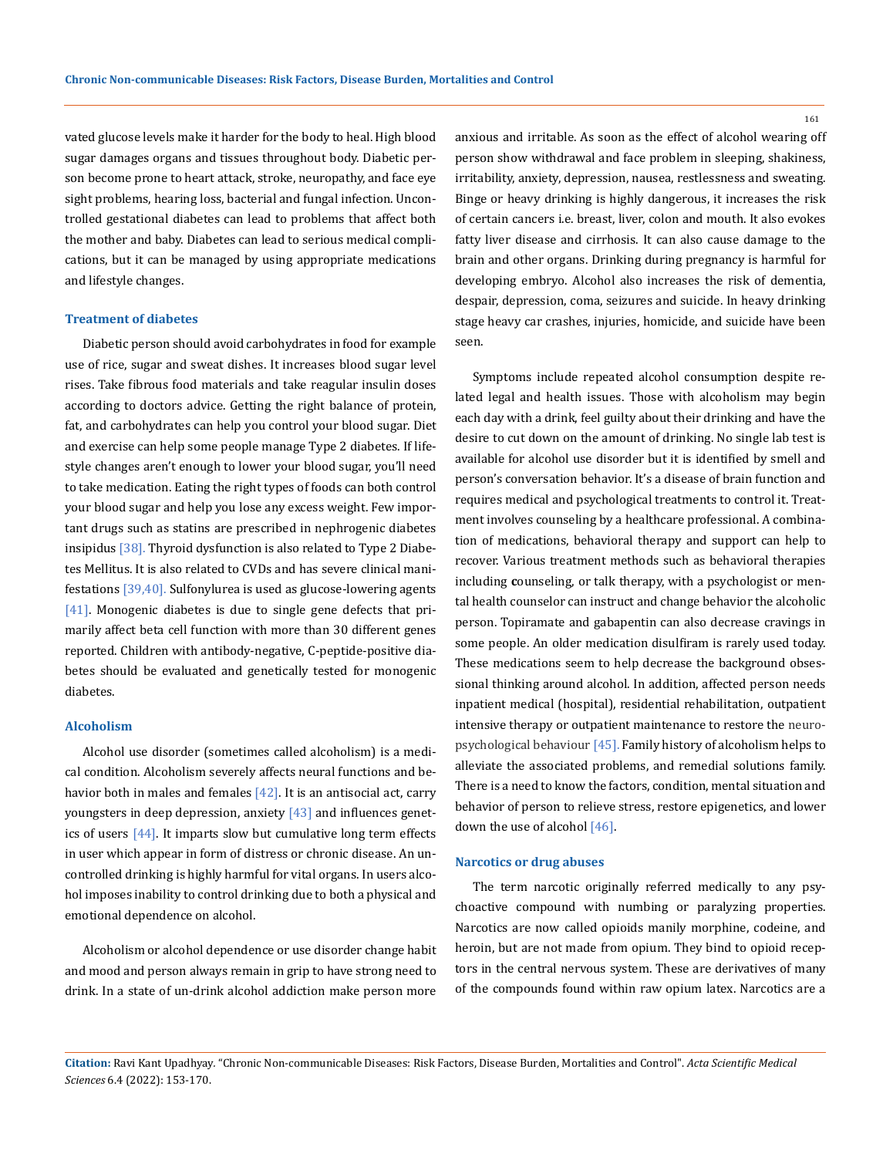vated glucose levels make it harder for the body to heal. High blood sugar damages organs and tissues throughout body. Diabetic person become prone to heart attack, stroke, neuropathy, and face eye sight problems, hearing loss, bacterial and fungal infection. Uncontrolled gestational diabetes can lead to problems that affect both the mother and baby. Diabetes can lead to serious medical complications, but it can be managed by using appropriate medications and lifestyle changes.

#### **Treatment of diabetes**

Diabetic person should avoid carbohydrates in food for example use of rice, sugar and sweat dishes. It increases blood sugar level rises. Take fibrous food materials and take reagular insulin doses according to doctors advice. Getting the right balance of protein, fat, and carbohydrates can help you control your blood sugar. Diet and exercise can help some people manage Type 2 diabetes. If lifestyle changes aren't enough to lower your blood sugar, you'll need to take medication. Eating the right types of foods can both control your blood sugar and help you lose any excess weight. Few important drugs such as statins are prescribed in nephrogenic diabetes insipidus [38]. Thyroid dysfunction is also related to Type 2 Diabetes Mellitus. It is also related to CVDs and has severe clinical manifestations [39,40]. Sulfonylurea is used as glucose-lowering agents [41]. Monogenic diabetes is due to single gene defects that primarily affect beta cell function with more than 30 different genes reported. Children with antibody-negative, C-peptide-positive diabetes should be evaluated and genetically tested for monogenic diabetes.

### **Alcoholism**

Alcohol use disorder (sometimes called alcoholism) is a medical condition. Alcoholism severely affects neural functions and behavior both in males and females  $[42]$ . It is an antisocial act, carry youngsters in deep depression, anxiety [43] and influences genetics of users [44]. It imparts slow but cumulative long term effects in user which appear in form of distress or chronic disease. An uncontrolled drinking is highly harmful for vital organs. In users alcohol imposes inability to control drinking due to both a physical and emotional dependence on alcohol.

Alcoholism or alcohol dependence or use disorder change habit and mood and person always remain in grip to have strong need to drink. In a state of un-drink alcohol addiction make person more anxious and irritable. As soon as the effect of alcohol wearing off person show withdrawal and face problem in sleeping, shakiness, irritability, anxiety, depression, nausea, restlessness and sweating. Binge or heavy drinking is highly dangerous, it increases the risk of certain cancers i.e. breast, liver, colon and mouth. It also evokes fatty liver disease and cirrhosis. It can also cause damage to the brain and other organs. Drinking during pregnancy is harmful for developing embryo. Alcohol also increases the risk of dementia, despair, depression, coma, seizures and suicide. In heavy drinking stage heavy car crashes, injuries, homicide, and suicide have been seen.

Symptoms include repeated alcohol consumption despite related legal and health issues. Those with alcoholism may begin each day with a drink, feel guilty about their drinking and have the desire to cut down on the amount of drinking. No single lab test is available for alcohol use disorder but it is identified by smell and person's conversation behavior. It's a disease of brain function and requires medical and psychological treatments to control it. Treatment involves counseling by a healthcare professional. A combination of medications, behavioral therapy and support can help to recover. Various treatment methods such as behavioral therapies including **c**ounseling, or talk therapy, with a psychologist or mental health counselor can instruct and change behavior the alcoholic person. Topiramate and gabapentin can also decrease cravings in some people. An older medication disulfiram is rarely used today. These medications seem to help decrease the background obsessional thinking around alcohol. In addition, affected person needs inpatient medical (hospital), residential rehabilitation, outpatient intensive therapy or outpatient maintenance to restore the neuropsychological behaviour [45]. Family history of alcoholism helps to alleviate the associated problems, and remedial solutions family. There is a need to know the factors, condition, mental situation and behavior of person to relieve stress, restore epigenetics, and lower down the use of alcohol [46].

#### **Narcotics or drug abuses**

The term narcotic originally referred medically to any psychoactive compound with numbing or paralyzing properties. Narcotics are now called opioids manily morphine, codeine, and heroin, but are not made from opium. They bind to opioid receptors in the central nervous system. These are derivatives of many of the compounds found within raw opium latex. Narcotics are a

**Citation:** Ravi Kant Upadhyay*.* "Chronic Non-communicable Diseases: Risk Factors, Disease Burden, Mortalities and Control". *Acta Scientific Medical Sciences* 6.4 (2022): 153-170.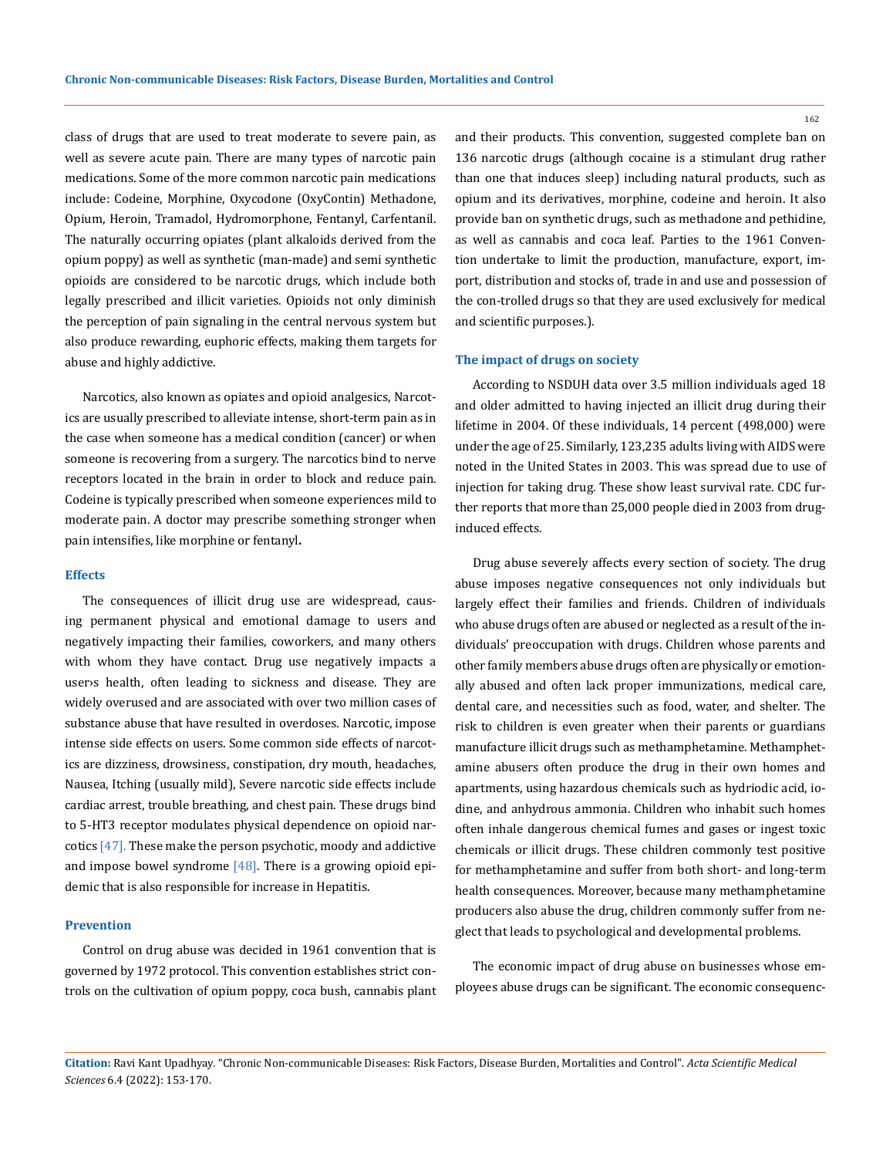class of drugs that are used to treat moderate to severe pain, as well as severe acute pain. There are many types of narcotic pain medications. Some of the more common narcotic pain medications include: Codeine, Morphine, Oxycodone (OxyContin) Methadone, Opium, Heroin, Tramadol, Hydromorphone, Fentanyl, Carfentanil. The naturally occurring opiates (plant alkaloids derived from the opium poppy) as well as synthetic (man-made) and semi synthetic opioids are considered to be narcotic drugs, which include both legally prescribed and illicit varieties. Opioids not only diminish the perception of pain signaling in the central nervous system but also produce rewarding, euphoric effects, making them targets for abuse and highly addictive.

Narcotics, also known as opiates and opioid analgesics, Narcotics are usually prescribed to alleviate intense, short-term pain as in the case when someone has a medical condition (cancer) or when someone is recovering from a surgery. The narcotics bind to nerve receptors located in the brain in order to block and reduce pain. Codeine is typically prescribed when someone experiences mild to moderate pain. A doctor may prescribe something stronger when pain intensifies, like morphine or fentanyl**.** 

#### **Effects**

The consequences of illicit drug use are widespread, causing permanent physical and emotional damage to users and negatively impacting their families, coworkers, and many others with whom they have contact. Drug use negatively impacts a user›s health, often leading to sickness and disease. They are widely overused and are associated with over two million cases of substance abuse that have resulted in overdoses. Narcotic, impose intense side effects on users. Some common side effects of narcotics are dizziness, drowsiness, constipation, dry mouth, headaches, Nausea, Itching (usually mild), Severe narcotic side effects include cardiac arrest, trouble breathing, and chest pain. These drugs bind to 5-HT3 receptor modulates physical dependence on opioid narcotics [47]. These make the person psychotic, moody and addictive and impose bowel syndrome  $[48]$ . There is a growing opioid epidemic that is also responsible for increase in Hepatitis.

### **Prevention**

Control on drug abuse was decided in 1961 convention that is governed by 1972 protocol. This convention establishes strict controls on the cultivation of opium poppy, coca bush, cannabis plant and their products. This convention, suggested complete ban on 136 narcotic drugs (although cocaine is a stimulant drug rather than one that induces sleep) including natural products, such as opium and its derivatives, morphine, codeine and heroin. It also provide ban on synthetic drugs, such as methadone and pethidine, as well as cannabis and coca leaf. Parties to the 1961 Convention undertake to limit the production, manufacture, export, import, distribution and stocks of, trade in and use and possession of the con-trolled drugs so that they are used exclusively for medical and scientific purposes.).

### **The impact of drugs on society**

According to NSDUH data over 3.5 million individuals aged 18 and older admitted to having injected an illicit drug during their lifetime in 2004. Of these individuals, 14 percent (498,000) were under the age of 25. Similarly, 123,235 adults living with AIDS were noted in the United States in 2003. This was spread due to use of injection for taking drug. These show least survival rate. CDC further reports that more than 25,000 people died in 2003 from druginduced effects.

Drug abuse severely affects every section of society. The drug abuse imposes negative consequences not only individuals but largely effect their families and friends. Children of individuals who abuse drugs often are abused or neglected as a result of the individuals' preoccupation with drugs. Children whose parents and other family members abuse drugs often are physically or emotionally abused and often lack proper immunizations, medical care, dental care, and necessities such as food, water, and shelter. The risk to children is even greater when their parents or guardians manufacture illicit drugs such as methamphetamine. Methamphetamine abusers often produce the drug in their own homes and apartments, using hazardous chemicals such as hydriodic acid, iodine, and anhydrous ammonia. Children who inhabit such homes often inhale dangerous chemical fumes and gases or ingest toxic chemicals or illicit drugs. These children commonly test positive for methamphetamine and suffer from both short- and long-term health consequences. Moreover, because many methamphetamine producers also abuse the drug, children commonly suffer from neglect that leads to psychological and developmental problems.

The economic impact of drug abuse on businesses whose employees abuse drugs can be significant. The economic consequenc-

**Citation:** Ravi Kant Upadhyay*.* "Chronic Non-communicable Diseases: Risk Factors, Disease Burden, Mortalities and Control". *Acta Scientific Medical Sciences* 6.4 (2022): 153-170.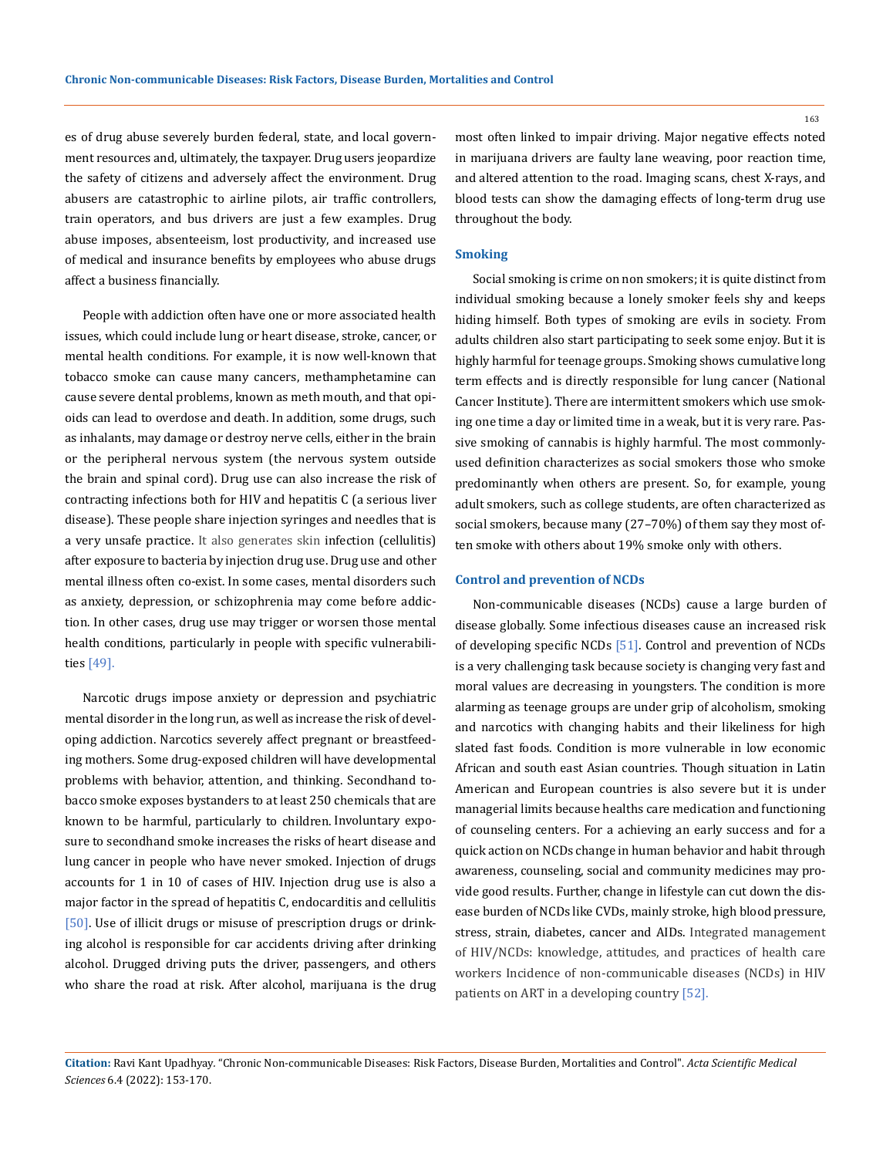es of drug abuse severely burden federal, state, and local government resources and, ultimately, the taxpayer. Drug users jeopardize the safety of citizens and adversely affect the environment. Drug abusers are catastrophic to airline pilots, air traffic controllers, train operators, and bus drivers are just a few examples. Drug abuse imposes, absenteeism, lost productivity, and increased use of medical and insurance benefits by employees who abuse drugs affect a business financially.

People with addiction often have one or more associated health issues, which could include lung or heart disease, stroke, cancer, or mental health conditions. For example, it is now well-known that tobacco smoke can cause many cancers, methamphetamine can cause severe dental problems, known as meth mouth, and that opioids can lead to overdose and death. In addition, some drugs, such as inhalants, may damage or destroy nerve cells, either in the brain or the peripheral nervous system (the nervous system outside the brain and spinal cord). Drug use can also increase the risk of contracting infections both for HIV and hepatitis C (a serious liver disease). These people share injection syringes and needles that is a very unsafe practice. It also generates skin infection (cellulitis) after exposure to bacteria by injection drug use. Drug use and other mental illness often co-exist. In some cases, mental disorders such as anxiety, depression, or schizophrenia may come before addiction. In other cases, drug use may trigger or worsen those mental health conditions, particularly in people with specific vulnerabilities [49].

Narcotic drugs impose anxiety or depression and psychiatric mental disorder in the long run, as well as increase the risk of developing addiction. Narcotics severely affect pregnant or breastfeeding mothers. Some drug-exposed children will have developmental problems with behavior, attention, and thinking. Secondhand tobacco smoke exposes bystanders to at least 250 chemicals that are known to be harmful, particularly to children. Involuntary exposure to secondhand smoke increases the risks of heart disease and lung cancer in people who have never smoked. Injection of drugs accounts for 1 in 10 of cases of HIV. Injection drug use is also a major factor in the spread of hepatitis C, endocarditis and cellulitis [50]. Use of illicit drugs or misuse of prescription drugs or drinking alcohol is responsible for car accidents driving after drinking alcohol. Drugged driving puts the driver, passengers, and others who share the road at risk. After alcohol, marijuana is the drug

most often linked to impair driving. Major negative effects noted in marijuana drivers are faulty lane weaving, poor reaction time, and altered attention to the road. Imaging scans, chest X-rays, and blood tests can show the damaging effects of long-term drug use throughout the body.

#### **Smoking**

Social smoking is crime on non smokers; it is quite distinct from individual smoking because a lonely smoker feels shy and keeps hiding himself. Both types of smoking are evils in society. From adults children also start participating to seek some enjoy. But it is highly harmful for teenage groups. Smoking shows cumulative long term effects and is directly responsible for lung cancer (National Cancer Institute). There are intermittent smokers which use smoking one time a day or limited time in a weak, but it is very rare. Passive smoking of cannabis is highly harmful. The most commonlyused definition characterizes as social smokers those who smoke predominantly when others are present. So, for example, young adult smokers, such as college students, are often characterized as social smokers, because many (27–70%) of them say they most often smoke with others about 19% smoke only with others.

#### **Control and prevention of NCDs**

Non-communicable diseases (NCDs) cause a large burden of disease globally. Some infectious diseases cause an increased risk of developing specific NCDs [51]. Control and prevention of NCDs is a very challenging task because society is changing very fast and moral values are decreasing in youngsters. The condition is more alarming as teenage groups are under grip of alcoholism, smoking and narcotics with changing habits and their likeliness for high slated fast foods. Condition is more vulnerable in low economic African and south east Asian countries. Though situation in Latin American and European countries is also severe but it is under managerial limits because healths care medication and functioning of counseling centers. For a achieving an early success and for a quick action on NCDs change in human behavior and habit through awareness, counseling, social and community medicines may provide good results. Further, change in lifestyle can cut down the disease burden of NCDs like CVDs, mainly stroke, high blood pressure, stress, strain, diabetes, cancer and AIDs. Integrated management of HIV/NCDs: knowledge, attitudes, and practices of health care workers Incidence of non-communicable diseases (NCDs) in HIV patients on ART in a developing country [52].

**Citation:** Ravi Kant Upadhyay*.* "Chronic Non-communicable Diseases: Risk Factors, Disease Burden, Mortalities and Control". *Acta Scientific Medical Sciences* 6.4 (2022): 153-170.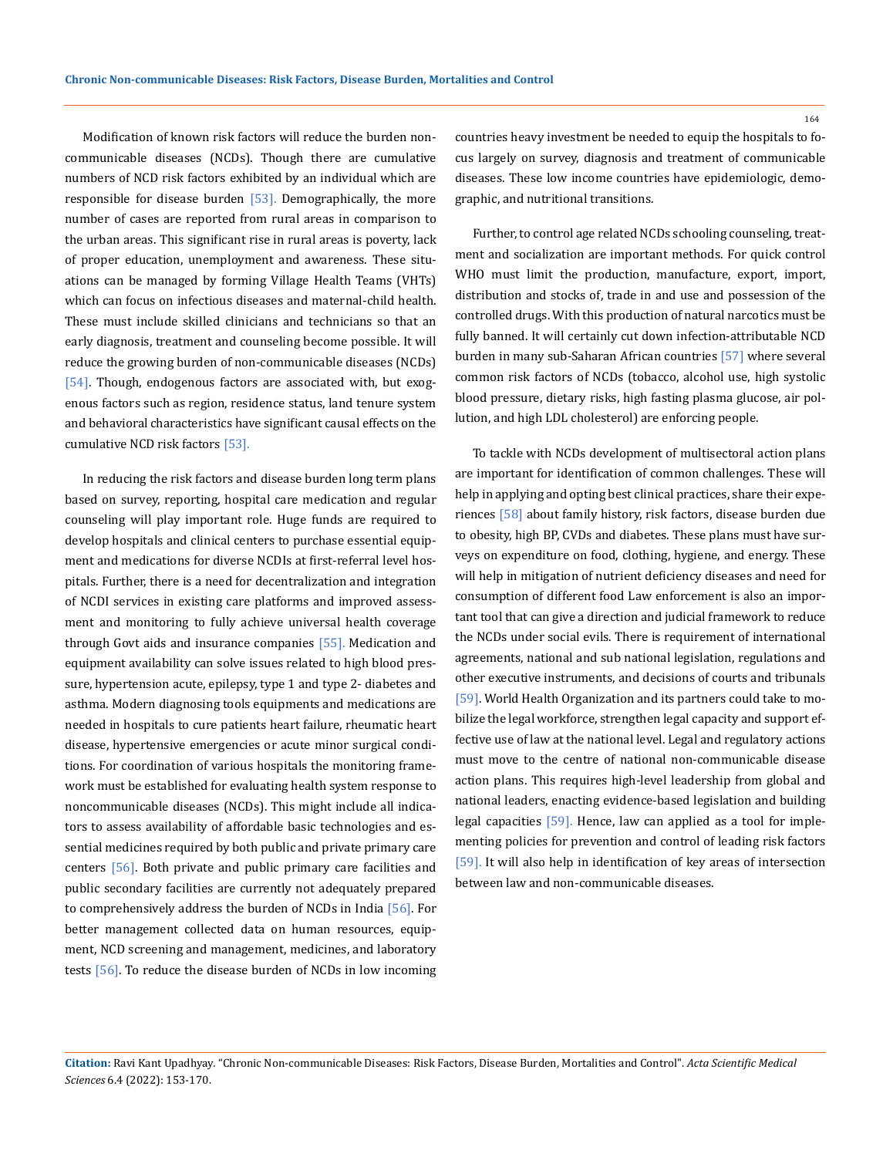Modification of known risk factors will reduce the burden noncommunicable diseases (NCDs). Though there are cumulative numbers of NCD risk factors exhibited by an individual which are responsible for disease burden  $[53]$ . Demographically, the more number of cases are reported from rural areas in comparison to the urban areas. This significant rise in rural areas is poverty, lack of proper education, unemployment and awareness. These situations can be managed by forming Village Health Teams (VHTs) which can focus on infectious diseases and maternal-child health. These must include skilled clinicians and technicians so that an early diagnosis, treatment and counseling become possible. It will reduce the growing burden of non-communicable diseases (NCDs) [54]. Though, endogenous factors are associated with, but exogenous factors such as region, residence status, land tenure system and behavioral characteristics have significant causal effects on the cumulative NCD risk factors [53].

In reducing the risk factors and disease burden long term plans based on survey, reporting, hospital care medication and regular counseling will play important role. Huge funds are required to develop hospitals and clinical centers to purchase essential equipment and medications for diverse NCDIs at first-referral level hospitals. Further, there is a need for decentralization and integration of NCDI services in existing care platforms and improved assessment and monitoring to fully achieve universal health coverage through Govt aids and insurance companies [55]. Medication and equipment availability can solve issues related to high blood pressure, hypertension acute, epilepsy, type 1 and type 2- diabetes and asthma. Modern diagnosing tools equipments and medications are needed in hospitals to cure patients heart failure, rheumatic heart disease, hypertensive emergencies or acute minor surgical conditions. For coordination of various hospitals the monitoring framework must be established for evaluating health system response to noncommunicable diseases (NCDs). This might include all indicators to assess availability of affordable basic technologies and essential medicines required by both public and private primary care centers [56]. Both private and public primary care facilities and public secondary facilities are currently not adequately prepared to comprehensively address the burden of NCDs in India [56]. For better management collected data on human resources, equipment, NCD screening and management, medicines, and laboratory tests [56]. To reduce the disease burden of NCDs in low incoming countries heavy investment be needed to equip the hospitals to focus largely on survey, diagnosis and treatment of communicable diseases. These low income countries have epidemiologic, demographic, and nutritional transitions.

Further, to control age related NCDs schooling counseling, treatment and socialization are important methods. For quick control WHO must limit the production, manufacture, export, import, distribution and stocks of, trade in and use and possession of the controlled drugs. With this production of natural narcotics must be fully banned. It will certainly cut down infection-attributable NCD burden in many sub-Saharan African countries [57] where several common risk factors of NCDs (tobacco, alcohol use, high systolic blood pressure, dietary risks, high fasting plasma glucose, air pollution, and high LDL cholesterol) are enforcing people.

To tackle with NCDs development of multisectoral action plans are important for identification of common challenges. These will help in applying and opting best clinical practices, share their experiences [58] about family history, risk factors, disease burden due to obesity, high BP, CVDs and diabetes. These plans must have surveys on expenditure on food, clothing, hygiene, and energy. These will help in mitigation of nutrient deficiency diseases and need for consumption of different food Law enforcement is also an important tool that can give a direction and judicial framework to reduce the NCDs under social evils. There is requirement of international agreements, national and sub national legislation, regulations and other executive instruments, and decisions of courts and tribunals [59]. World Health Organization and its partners could take to mobilize the legal workforce, strengthen legal capacity and support effective use of law at the national level. Legal and regulatory actions must move to the centre of national non-communicable disease action plans. This requires high-level leadership from global and national leaders, enacting evidence-based legislation and building legal capacities [59]. Hence, law can applied as a tool for implementing policies for prevention and control of leading risk factors [59]. It will also help in identification of key areas of intersection between law and non-communicable diseases.

**Citation:** Ravi Kant Upadhyay*.* "Chronic Non-communicable Diseases: Risk Factors, Disease Burden, Mortalities and Control". *Acta Scientific Medical Sciences* 6.4 (2022): 153-170.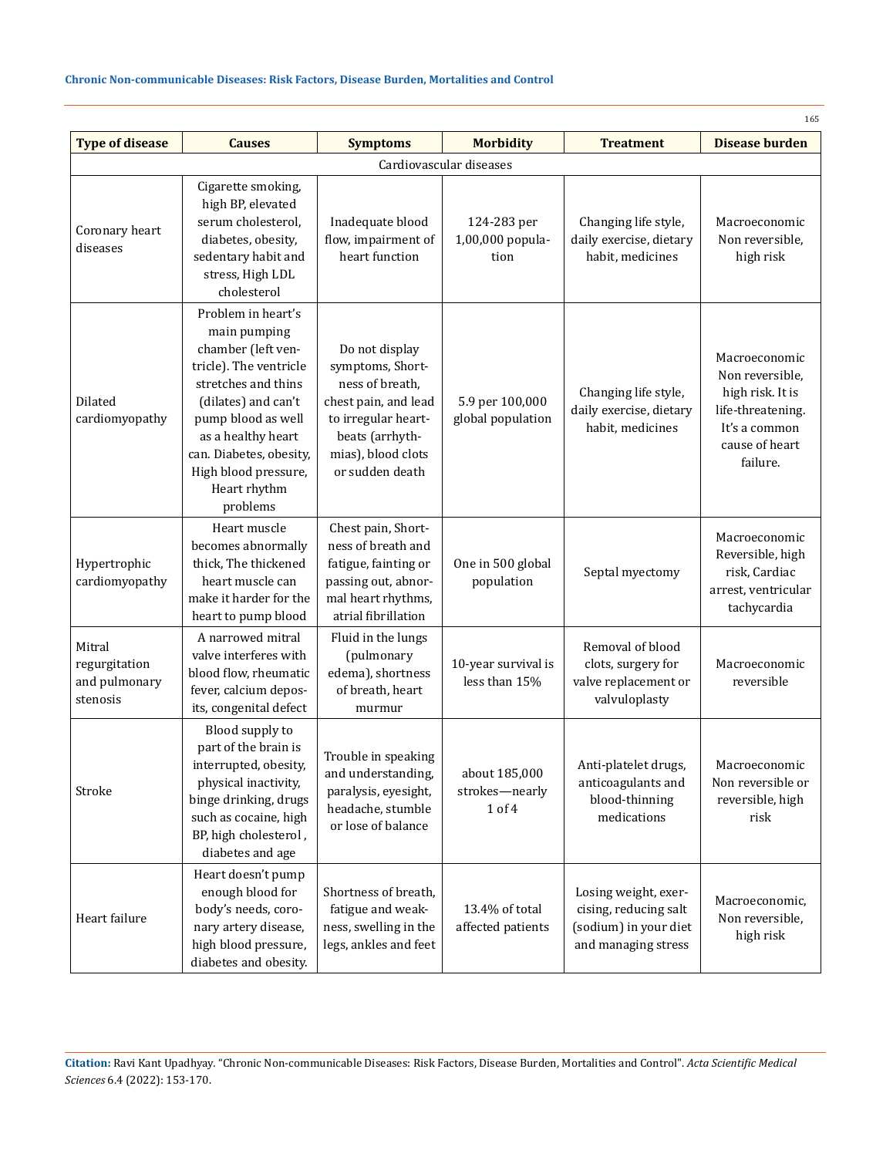# **Chronic Non-communicable Diseases: Risk Factors, Disease Burden, Mortalities and Control**

| <b>Type of disease</b>                               | <b>Causes</b>                                                                                                                                                                                                                                               | <b>Symptoms</b>                                                                                                                                                  | <b>Morbidity</b>                          | <b>Treatment</b>                                                                              | 165<br><b>Disease burden</b>                                                                                             |  |  |
|------------------------------------------------------|-------------------------------------------------------------------------------------------------------------------------------------------------------------------------------------------------------------------------------------------------------------|------------------------------------------------------------------------------------------------------------------------------------------------------------------|-------------------------------------------|-----------------------------------------------------------------------------------------------|--------------------------------------------------------------------------------------------------------------------------|--|--|
| Cardiovascular diseases                              |                                                                                                                                                                                                                                                             |                                                                                                                                                                  |                                           |                                                                                               |                                                                                                                          |  |  |
| Coronary heart<br>diseases                           | Cigarette smoking,<br>high BP, elevated<br>serum cholesterol,<br>diabetes, obesity,<br>sedentary habit and<br>stress, High LDL<br>cholesterol                                                                                                               | Inadequate blood<br>flow, impairment of<br>heart function                                                                                                        | 124-283 per<br>1,00,000 popula-<br>tion   | Changing life style,<br>daily exercise, dietary<br>habit, medicines                           | Macroeconomic<br>Non reversible,<br>high risk                                                                            |  |  |
| Dilated<br>cardiomyopathy                            | Problem in heart's<br>main pumping<br>chamber (left ven-<br>tricle). The ventricle<br>stretches and thins<br>(dilates) and can't<br>pump blood as well<br>as a healthy heart<br>can. Diabetes, obesity,<br>High blood pressure,<br>Heart rhythm<br>problems | Do not display<br>symptoms, Short-<br>ness of breath,<br>chest pain, and lead<br>to irregular heart-<br>beats (arrhyth-<br>mias), blood clots<br>or sudden death | 5.9 per 100,000<br>global population      | Changing life style,<br>daily exercise, dietary<br>habit, medicines                           | Macroeconomic<br>Non reversible,<br>high risk. It is<br>life-threatening.<br>It's a common<br>cause of heart<br>failure. |  |  |
| Hypertrophic<br>cardiomyopathy                       | Heart muscle<br>becomes abnormally<br>thick, The thickened<br>heart muscle can<br>make it harder for the<br>heart to pump blood                                                                                                                             | Chest pain, Short-<br>ness of breath and<br>fatigue, fainting or<br>passing out, abnor-<br>mal heart rhythms,<br>atrial fibrillation                             | One in 500 global<br>population           | Septal myectomy                                                                               | Macroeconomic<br>Reversible, high<br>risk, Cardiac<br>arrest, ventricular<br>tachycardia                                 |  |  |
| Mitral<br>regurgitation<br>and pulmonary<br>stenosis | A narrowed mitral<br>valve interferes with<br>blood flow, rheumatic<br>fever, calcium depos-<br>its, congenital defect                                                                                                                                      | Fluid in the lungs<br>(pulmonary<br>edema), shortness<br>of breath, heart<br>murmur                                                                              | 10-year survival is<br>less than 15%      | Removal of blood<br>clots, surgery for<br>valve replacement or<br>valvuloplasty               | Macroeconomic<br>reversible                                                                                              |  |  |
| Stroke                                               | Blood supply to<br>part of the brain is<br>interrupted, obesity,<br>physical inactivity,<br>binge drinking, drugs<br>such as cocaine, high<br>BP, high cholesterol,<br>diabetes and age                                                                     | Trouble in speaking<br>and understanding<br>paralysis, eyesight,<br>headache, stumble<br>or lose of balance                                                      | about 185,000<br>strokes-nearly<br>1 of 4 | Anti-platelet drugs,<br>anticoagulants and<br>blood-thinning<br>medications                   | Macroeconomic<br>Non reversible or<br>reversible, high<br>risk                                                           |  |  |
| Heart failure                                        | Heart doesn't pump<br>enough blood for<br>body's needs, coro-<br>nary artery disease,<br>high blood pressure,<br>diabetes and obesity.                                                                                                                      | Shortness of breath,<br>fatigue and weak-<br>ness, swelling in the<br>legs, ankles and feet                                                                      | 13.4% of total<br>affected patients       | Losing weight, exer-<br>cising, reducing salt<br>(sodium) in your diet<br>and managing stress | Macroeconomic,<br>Non reversible,<br>high risk                                                                           |  |  |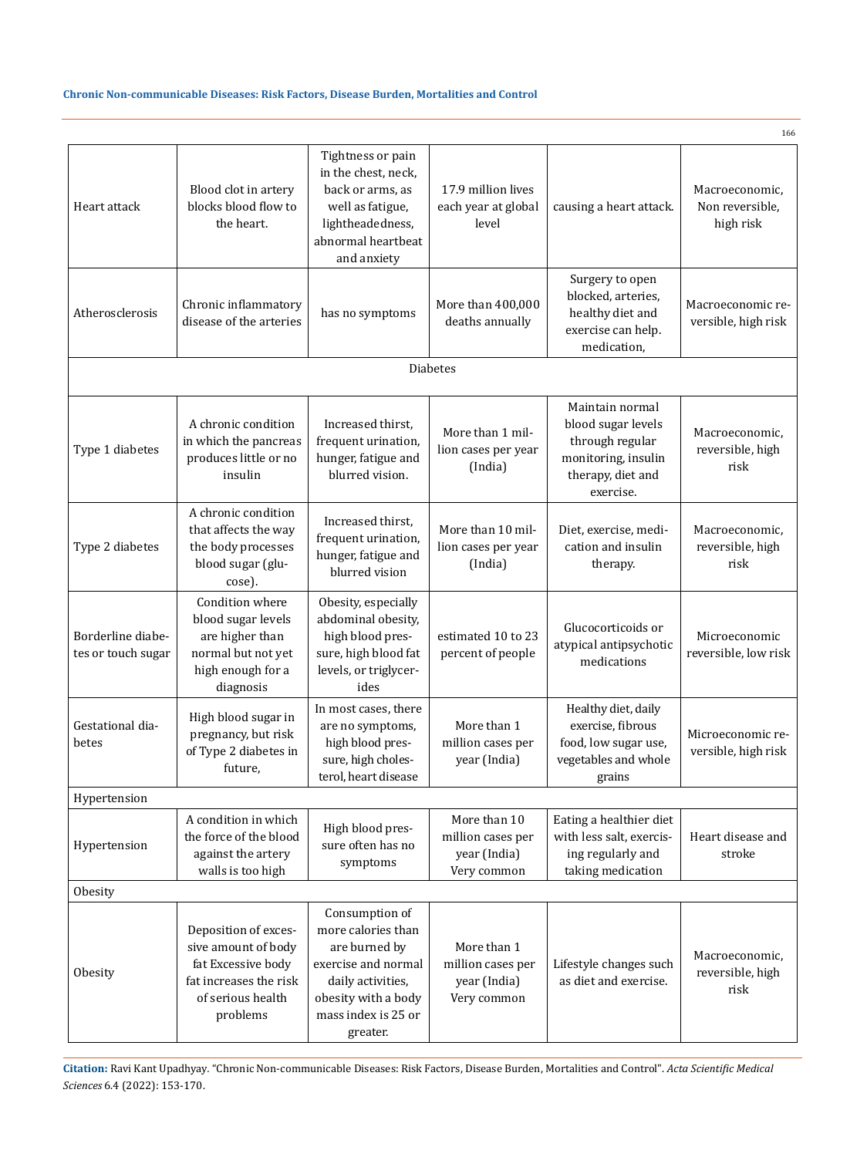# **Chronic Non-communicable Diseases: Risk Factors, Disease Burden, Mortalities and Control**

|                                         |                                                                                                                              |                                                                                                                                                             |                                                                  |                                                                                                                   | 166                                            |  |  |
|-----------------------------------------|------------------------------------------------------------------------------------------------------------------------------|-------------------------------------------------------------------------------------------------------------------------------------------------------------|------------------------------------------------------------------|-------------------------------------------------------------------------------------------------------------------|------------------------------------------------|--|--|
| Heart attack                            | Blood clot in artery<br>blocks blood flow to<br>the heart.                                                                   | Tightness or pain<br>in the chest, neck,<br>back or arms, as<br>well as fatigue,<br>lightheadedness,<br>abnormal heartbeat<br>and anxiety                   | 17.9 million lives<br>each year at global<br>level               | causing a heart attack.                                                                                           | Macroeconomic,<br>Non reversible,<br>high risk |  |  |
| Atherosclerosis                         | Chronic inflammatory<br>disease of the arteries                                                                              | has no symptoms                                                                                                                                             | More than 400,000<br>deaths annually                             | Surgery to open<br>blocked, arteries,<br>healthy diet and<br>exercise can help.<br>medication,                    | Macroeconomic re-<br>versible, high risk       |  |  |
| <b>Diabetes</b>                         |                                                                                                                              |                                                                                                                                                             |                                                                  |                                                                                                                   |                                                |  |  |
| Type 1 diabetes                         | A chronic condition<br>in which the pancreas<br>produces little or no<br>insulin                                             | Increased thirst.<br>frequent urination,<br>hunger, fatigue and<br>blurred vision.                                                                          | More than 1 mil-<br>lion cases per year<br>(India)               | Maintain normal<br>blood sugar levels<br>through regular<br>monitoring, insulin<br>therapy, diet and<br>exercise. | Macroeconomic,<br>reversible, high<br>risk     |  |  |
| Type 2 diabetes                         | A chronic condition<br>that affects the way<br>the body processes<br>blood sugar (glu-<br>cose).                             | Increased thirst,<br>frequent urination,<br>hunger, fatigue and<br>blurred vision                                                                           | More than 10 mil-<br>lion cases per year<br>(India)              | Diet, exercise, medi-<br>cation and insulin<br>therapy.                                                           | Macroeconomic,<br>reversible, high<br>risk     |  |  |
| Borderline diabe-<br>tes or touch sugar | Condition where<br>blood sugar levels<br>are higher than<br>normal but not yet<br>high enough for a<br>diagnosis             | Obesity, especially<br>abdominal obesity,<br>high blood pres-<br>sure, high blood fat<br>levels, or triglycer-<br>ides                                      | estimated 10 to 23<br>percent of people                          | Glucocorticoids or<br>atypical antipsychotic<br>medications                                                       | Microeconomic<br>reversible, low risk          |  |  |
| Gestational dia-<br>betes               | High blood sugar in<br>pregnancy, but risk<br>of Type 2 diabetes in<br>future,                                               | In most cases, there<br>are no symptoms,<br>high blood pres-<br>sure, high choles-<br>terol, heart disease                                                  | More than 1<br>million cases per<br>year (India)                 | Healthy diet, daily<br>exercise, fibrous<br>food, low sugar use,<br>vegetables and whole<br>grains                | Microeconomic re-<br>versible, high risk       |  |  |
| Hypertension                            |                                                                                                                              |                                                                                                                                                             |                                                                  |                                                                                                                   |                                                |  |  |
| Hypertension                            | A condition in which<br>the force of the blood<br>against the artery<br>walls is too high                                    | High blood pres-<br>sure often has no<br>symptoms                                                                                                           | More than 10<br>million cases per<br>year (India)<br>Very common | Eating a healthier diet<br>with less salt, exercis-<br>ing regularly and<br>taking medication                     | Heart disease and<br>stroke                    |  |  |
| Obesity                                 |                                                                                                                              |                                                                                                                                                             |                                                                  |                                                                                                                   |                                                |  |  |
| Obesity                                 | Deposition of exces-<br>sive amount of body<br>fat Excessive body<br>fat increases the risk<br>of serious health<br>problems | Consumption of<br>more calories than<br>are burned by<br>exercise and normal<br>daily activities,<br>obesity with a body<br>mass index is 25 or<br>greater. | More than 1<br>million cases per<br>year (India)<br>Very common  | Lifestyle changes such<br>as diet and exercise.                                                                   | Macroeconomic,<br>reversible, high<br>risk     |  |  |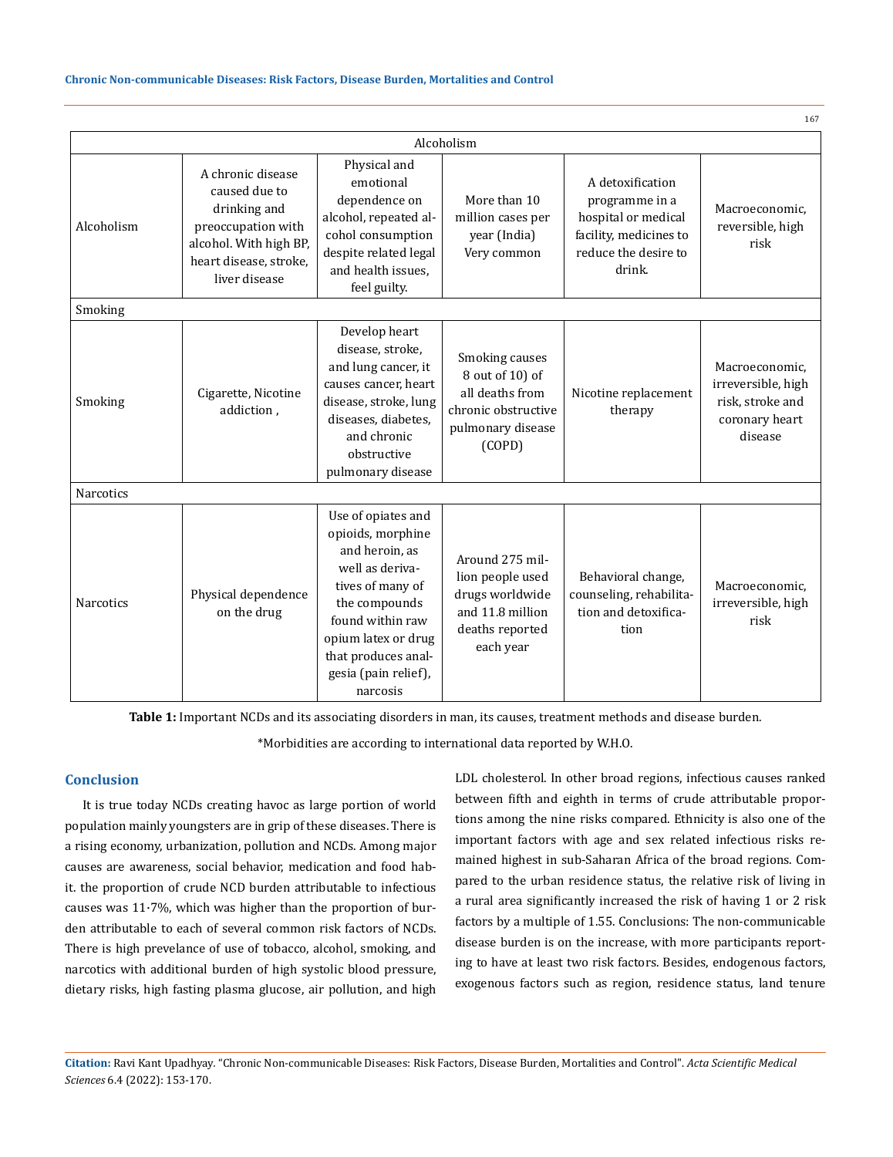| 167              |                                                                                                                                               |                                                                                                                                                                                                                         |                                                                                                            |                                                                                                                       |                                                                                       |  |  |
|------------------|-----------------------------------------------------------------------------------------------------------------------------------------------|-------------------------------------------------------------------------------------------------------------------------------------------------------------------------------------------------------------------------|------------------------------------------------------------------------------------------------------------|-----------------------------------------------------------------------------------------------------------------------|---------------------------------------------------------------------------------------|--|--|
| Alcoholism       |                                                                                                                                               |                                                                                                                                                                                                                         |                                                                                                            |                                                                                                                       |                                                                                       |  |  |
| Alcoholism       | A chronic disease<br>caused due to<br>drinking and<br>preoccupation with<br>alcohol. With high BP,<br>heart disease, stroke,<br>liver disease | Physical and<br>emotional<br>dependence on<br>alcohol, repeated al-<br>cohol consumption<br>despite related legal<br>and health issues.<br>feel guilty.                                                                 | More than 10<br>million cases per<br>year (India)<br>Very common                                           | A detoxification<br>programme in a<br>hospital or medical<br>facility, medicines to<br>reduce the desire to<br>drink. | Macroeconomic.<br>reversible, high<br>risk                                            |  |  |
| Smoking          |                                                                                                                                               |                                                                                                                                                                                                                         |                                                                                                            |                                                                                                                       |                                                                                       |  |  |
| Smoking          | Cigarette, Nicotine<br>addiction,                                                                                                             | Develop heart<br>disease, stroke,<br>and lung cancer, it<br>causes cancer, heart<br>disease, stroke, lung<br>diseases, diabetes,<br>and chronic<br>obstructive<br>pulmonary disease                                     | Smoking causes<br>8 out of 10) of<br>all deaths from<br>chronic obstructive<br>pulmonary disease<br>(COPD) | Nicotine replacement<br>therapy                                                                                       | Macroeconomic.<br>irreversible, high<br>risk, stroke and<br>coronary heart<br>disease |  |  |
| <b>Narcotics</b> |                                                                                                                                               |                                                                                                                                                                                                                         |                                                                                                            |                                                                                                                       |                                                                                       |  |  |
| <b>Narcotics</b> | Physical dependence<br>on the drug                                                                                                            | Use of opiates and<br>opioids, morphine<br>and heroin, as<br>well as deriva-<br>tives of many of<br>the compounds<br>found within raw<br>opium latex or drug<br>that produces anal-<br>gesia (pain relief),<br>narcosis | Around 275 mil-<br>lion people used<br>drugs worldwide<br>and 11.8 million<br>deaths reported<br>each year | Behavioral change,<br>counseling, rehabilita-<br>tion and detoxifica-<br>tion                                         | Macroeconomic.<br>irreversible, high<br>risk                                          |  |  |

**Table 1:** Important NCDs and its associating disorders in man, its causes, treatment methods and disease burden.

\*Morbidities are according to international data reported by W.H.O.

# **Conclusion**

It is true today NCDs creating havoc as large portion of world population mainly youngsters are in grip of these diseases. There is a rising economy, urbanization, pollution and NCDs. Among major causes are awareness, social behavior, medication and food habit. the proportion of crude NCD burden attributable to infectious causes was 11·7%, which was higher than the proportion of burden attributable to each of several common risk factors of NCDs. There is high prevelance of use of tobacco, alcohol, smoking, and narcotics with additional burden of high systolic blood pressure, dietary risks, high fasting plasma glucose, air pollution, and high LDL cholesterol. In other broad regions, infectious causes ranked between fifth and eighth in terms of crude attributable proportions among the nine risks compared. Ethnicity is also one of the important factors with age and sex related infectious risks remained highest in sub-Saharan Africa of the broad regions. Compared to the urban residence status, the relative risk of living in a rural area significantly increased the risk of having 1 or 2 risk factors by a multiple of 1.55. Conclusions: The non-communicable disease burden is on the increase, with more participants reporting to have at least two risk factors. Besides, endogenous factors, exogenous factors such as region, residence status, land tenure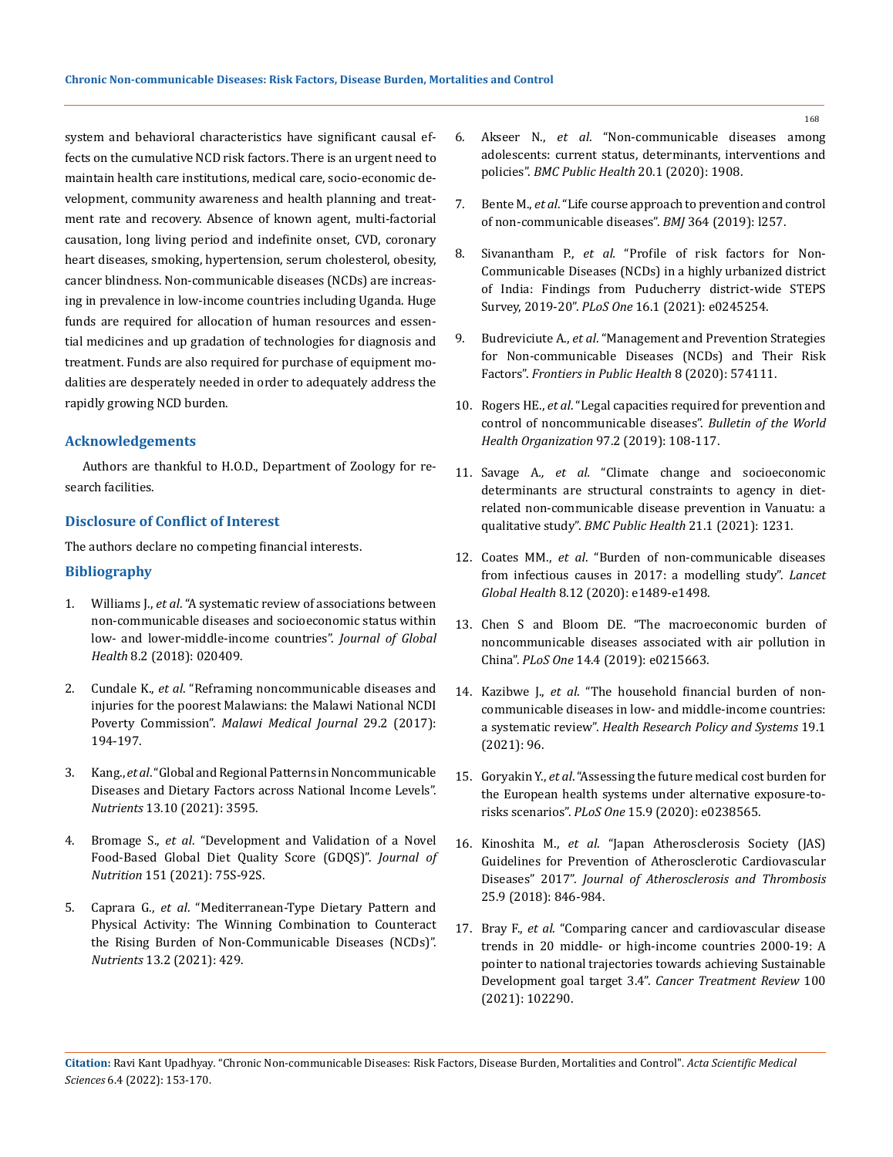system and behavioral characteristics have significant causal effects on the cumulative NCD risk factors. There is an urgent need to maintain health care institutions, medical care, socio-economic development, community awareness and health planning and treatment rate and recovery. Absence of known agent, multi-factorial causation, long living period and indefinite onset, CVD, coronary heart diseases, smoking, hypertension, serum cholesterol, obesity, cancer blindness. Non-communicable diseases (NCDs) are increasing in prevalence in low-income countries including Uganda. Huge funds are required for allocation of human resources and essential medicines and up gradation of technologies for diagnosis and treatment. Funds are also required for purchase of equipment modalities are desperately needed in order to adequately address the rapidly growing NCD burden.

### **Acknowledgements**

Authors are thankful to H.O.D., Department of Zoology for research facilities.

# **Disclosure of Conflict of Interest**

The authors declare no competing financial interests.

### **Bibliography**

- 1. Williams J., *et al*[. "A systematic review of associations between](https://pubmed.ncbi.nlm.nih.gov/30140435/)  [non-communicable diseases and socioeconomic status within](https://pubmed.ncbi.nlm.nih.gov/30140435/)  [low- and lower-middle-income countries".](https://pubmed.ncbi.nlm.nih.gov/30140435/) *Journal of Global Health* [8.2 \(2018\): 020409.](https://pubmed.ncbi.nlm.nih.gov/30140435/)
- 2. Cundale K., *et al*. "Reframing noncommunicable diseases and injuries for the poorest Malawians: the Malawi National NCDI Poverty Commission". *Malawi Medical Journal* 29.2 (2017): 194-197.
- 3. Kang., *et al*[. "Global and Regional Patterns in Noncommunicable](https://www.mdpi.com/2072-6643/13/10/3595)  [Diseases and Dietary Factors across National Income Levels".](https://www.mdpi.com/2072-6643/13/10/3595)  *Nutrients* [13.10 \(2021\): 3595.](https://www.mdpi.com/2072-6643/13/10/3595)
- 4. Bromage S., *et al*[. "Development and Validation of a Novel](https://academic.oup.com/jn/article/151/Supplement_2/75S/6409546)  [Food-Based Global Diet Quality Score \(GDQS\)".](https://academic.oup.com/jn/article/151/Supplement_2/75S/6409546) *Journal of Nutrition* [151 \(2021\): 75S-92S.](https://academic.oup.com/jn/article/151/Supplement_2/75S/6409546)
- 5. Caprara G., *et al*[. "Mediterranean-Type Dietary Pattern and](https://pubmed.ncbi.nlm.nih.gov/33525638/)  [Physical Activity: The Winning Combination to Counteract](https://pubmed.ncbi.nlm.nih.gov/33525638/)  [the Rising Burden of Non-Communicable Diseases \(NCDs\)".](https://pubmed.ncbi.nlm.nih.gov/33525638/)  *Nutrients* [13.2 \(2021\): 429.](https://pubmed.ncbi.nlm.nih.gov/33525638/)
- 6. Akseer N., *et al*[. "Non-communicable diseases among](https://bmcpublichealth.biomedcentral.com/articles/10.1186/s12889-020-09988-5)  [adolescents: current status, determinants, interventions and](https://bmcpublichealth.biomedcentral.com/articles/10.1186/s12889-020-09988-5)  policies". *[BMC Public Health](https://bmcpublichealth.biomedcentral.com/articles/10.1186/s12889-020-09988-5)* 20.1 (2020): 1908.
- 7. Bente M., *et al*[. "Life course approach to prevention and control](https://www.bmj.com/content/364/bmj.l257)  [of non-communicable diseases".](https://www.bmj.com/content/364/bmj.l257) *BMJ* 364 (2019): l257.
- 8. Sivanantham P., *et al.* ["Profile of risk factors for Non-](https://pubmed.ncbi.nlm.nih.gov/33434194/)[Communicable Diseases \(NCDs\) in a highly urbanized district](https://pubmed.ncbi.nlm.nih.gov/33434194/)  [of India: Findings from Puducherry district-wide STEPS](https://pubmed.ncbi.nlm.nih.gov/33434194/)  Survey, 2019-20". *PLoS One* [16.1 \(2021\): e0245254.](https://pubmed.ncbi.nlm.nih.gov/33434194/)
- 9. Budreviciute A., *et al*[. "Management and Prevention Strategies](https://www.ncbi.nlm.nih.gov/pmc/articles/PMC7726193/)  [for Non-communicable Diseases \(NCDs\) and Their Risk](https://www.ncbi.nlm.nih.gov/pmc/articles/PMC7726193/)  Factors". *[Frontiers in Public Health](https://www.ncbi.nlm.nih.gov/pmc/articles/PMC7726193/)* 8 (2020): 574111.
- 10. Rogers HE., *et al*[. "Legal capacities required for prevention and](https://www.ncbi.nlm.nih.gov/pmc/articles/PMC6357565/)  [control of noncommunicable diseases".](https://www.ncbi.nlm.nih.gov/pmc/articles/PMC6357565/) *Bulletin of the World [Health Organization](https://www.ncbi.nlm.nih.gov/pmc/articles/PMC6357565/)* 97.2 (2019): 108-117.
- 11. Savage A*., et al.* ["Climate change and socioeconomic](https://bmcpublichealth.biomedcentral.com/articles/10.1186/s12889-021-11245-2)  [determinants are structural constraints to agency in diet](https://bmcpublichealth.biomedcentral.com/articles/10.1186/s12889-021-11245-2)[related non-communicable disease prevention in Vanuatu: a](https://bmcpublichealth.biomedcentral.com/articles/10.1186/s12889-021-11245-2)  qualitative study". *[BMC Public Health](https://bmcpublichealth.biomedcentral.com/articles/10.1186/s12889-021-11245-2)* 21.1 (2021): 1231.
- 12. Coates MM., *et al*[. "Burden of non-communicable diseases](https://www.thelancet.com/journals/langlo/article/PIIS2214-109X(20)30358-2/fulltext)  [from infectious causes in 2017: a modelling study".](https://www.thelancet.com/journals/langlo/article/PIIS2214-109X(20)30358-2/fulltext) *Lancet Global Health* [8.12 \(2020\): e1489-e1498.](https://www.thelancet.com/journals/langlo/article/PIIS2214-109X(20)30358-2/fulltext)
- 13. Chen S and Bloom DE. "The macroeconomic burden of noncommunicable diseases associated with air pollution in China". *PLoS One* 14.4 (2019): e0215663.
- 14. Kazibwe J., *et al*[. "The household financial burden of non](https://health-policy-systems.biomedcentral.com/articles/10.1186/s12961-021-00732-y)[communicable diseases in low- and middle-income countries:](https://health-policy-systems.biomedcentral.com/articles/10.1186/s12961-021-00732-y)  a systematic review". *[Health Research Policy and Systems](https://health-policy-systems.biomedcentral.com/articles/10.1186/s12961-021-00732-y)* 19.1 [\(2021\): 96.](https://health-policy-systems.biomedcentral.com/articles/10.1186/s12961-021-00732-y)
- 15. Goryakin Y., *et al*[. "Assessing the future medical cost burden for](https://journals.plos.org/plosone/article?id=10.1371/journal.pone.0238565)  [the European health systems under alternative exposure-to](https://journals.plos.org/plosone/article?id=10.1371/journal.pone.0238565)risks scenarios". *PLoS One* [15.9 \(2020\): e0238565.](https://journals.plos.org/plosone/article?id=10.1371/journal.pone.0238565)
- 16. Kinoshita M., *et al*[. "Japan Atherosclerosis Society \(JAS\)](https://pubmed.ncbi.nlm.nih.gov/30135334/)  [Guidelines for Prevention of Atherosclerotic Cardiovascular](https://pubmed.ncbi.nlm.nih.gov/30135334/)  Diseases" 2017". *[Journal of Atherosclerosis and Thrombosis](https://pubmed.ncbi.nlm.nih.gov/30135334/)*  [25.9 \(2018\): 846-984.](https://pubmed.ncbi.nlm.nih.gov/30135334/)
- 17. Bray F., *et al*[. "Comparing cancer and cardiovascular disease](https://pubmed.ncbi.nlm.nih.gov/34536729/)  [trends in 20 middle- or high-income countries 2000-19: A](https://pubmed.ncbi.nlm.nih.gov/34536729/)  [pointer to national trajectories towards achieving Sustainable](https://pubmed.ncbi.nlm.nih.gov/34536729/)  Development goal target 3.4". *[Cancer Treatment Review](https://pubmed.ncbi.nlm.nih.gov/34536729/)* 100 [\(2021\): 102290.](https://pubmed.ncbi.nlm.nih.gov/34536729/)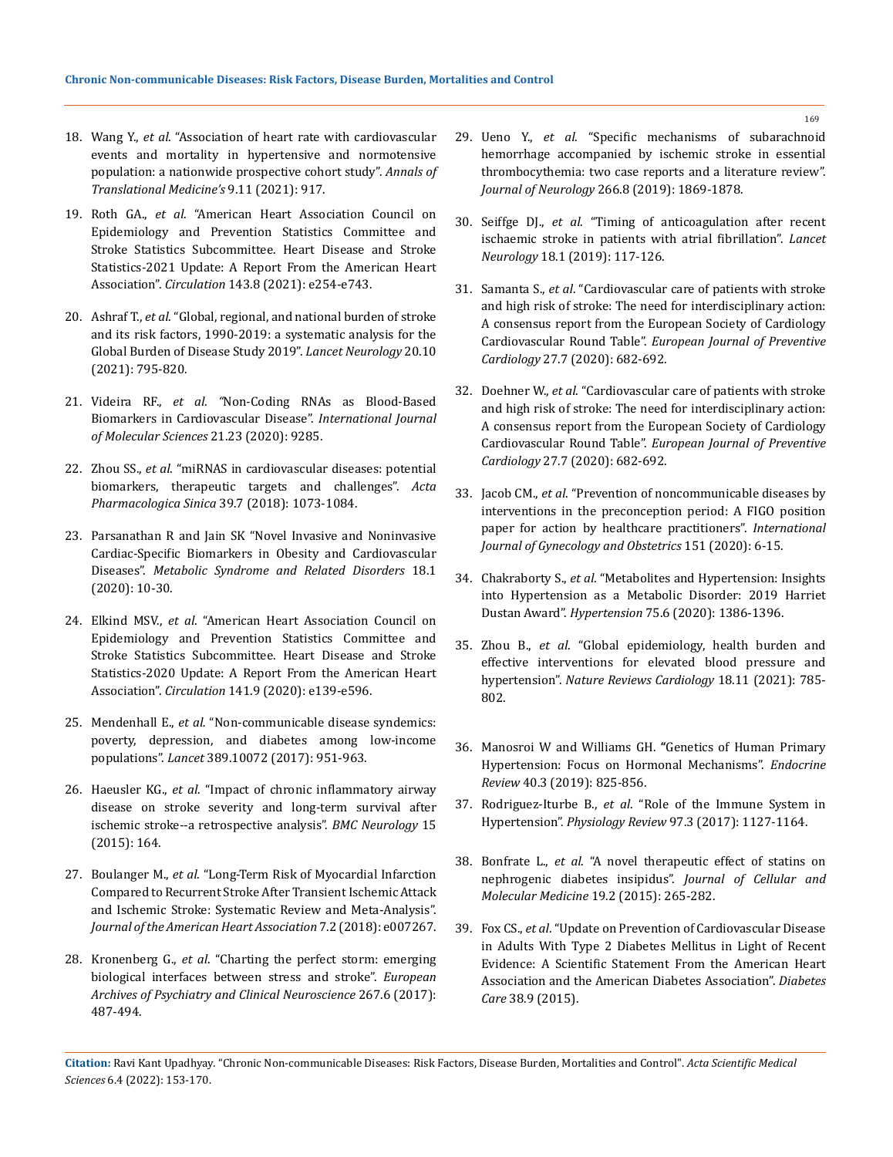- 18. Wang Y., *et al*[. "Association of heart rate with cardiovascular](https://pubmed.ncbi.nlm.nih.gov/34350232/)  [events and mortality in hypertensive and normotensive](https://pubmed.ncbi.nlm.nih.gov/34350232/)  [population: a nationwide prospective cohort study".](https://pubmed.ncbi.nlm.nih.gov/34350232/) *Annals of [Translational Medicine's](https://pubmed.ncbi.nlm.nih.gov/34350232/)* 9.11 (2021): 917.
- 19. Roth GA., *et al*[. "American Heart Association Council on](https://www.ahajournals.org/doi/10.1161/CIR.0000000000000950)  [Epidemiology and Prevention Statistics Committee and](https://www.ahajournals.org/doi/10.1161/CIR.0000000000000950)  [Stroke Statistics Subcommittee. Heart Disease and Stroke](https://www.ahajournals.org/doi/10.1161/CIR.0000000000000950)  [Statistics-2021 Update: A Report From the American Heart](https://www.ahajournals.org/doi/10.1161/CIR.0000000000000950)  Association". *Circulation* [143.8 \(2021\): e254-e743.](https://www.ahajournals.org/doi/10.1161/CIR.0000000000000950)
- 20. Ashraf T., *et al*[. "Global, regional, and national burden of stroke](https://www.thelancet.com/journals/laneur/article/PIIS1474-4422(21)00252-0/fulltext)  [and its risk factors, 1990-2019: a systematic analysis for the](https://www.thelancet.com/journals/laneur/article/PIIS1474-4422(21)00252-0/fulltext)  [Global Burden of Disease Study 2019".](https://www.thelancet.com/journals/laneur/article/PIIS1474-4422(21)00252-0/fulltext) *Lancet Neurology* 20.10 [\(2021\): 795-820.](https://www.thelancet.com/journals/laneur/article/PIIS1474-4422(21)00252-0/fulltext)
- 21. Videira RF., *et al*. *"*Non-Coding RNAs as Blood-Based Biomarkers in Cardiovascular Disease". *International Journal of Molecular Sciences* 21.23 (2020): 9285.
- 22. Zhou SS., *et al*[. "miRNAS in cardiovascular diseases: potential](https://pubmed.ncbi.nlm.nih.gov/29877320/)  [biomarkers, therapeutic targets and challenges".](https://pubmed.ncbi.nlm.nih.gov/29877320/) *Acta [Pharmacologica Sinica](https://pubmed.ncbi.nlm.nih.gov/29877320/)* 39.7 (2018): 1073-1084.
- 23. [Parsanathan R and Jain SK "Novel Invasive and Noninvasive](https://www.liebertpub.com/doi/10.1089/met.2019.0073)  [Cardiac-Specific Biomarkers in Obesity and Cardiovascular](https://www.liebertpub.com/doi/10.1089/met.2019.0073)  Diseases". *[Metabolic Syndrome and Related Disorders](https://www.liebertpub.com/doi/10.1089/met.2019.0073)* 18.1 [\(2020\): 10-30.](https://www.liebertpub.com/doi/10.1089/met.2019.0073)
- 24. Elkind MSV., *et al*[. "American Heart Association Council on](https://pubmed.ncbi.nlm.nih.gov/31992061/)  [Epidemiology and Prevention Statistics Committee and](https://pubmed.ncbi.nlm.nih.gov/31992061/)  [Stroke Statistics Subcommittee. Heart Disease and Stroke](https://pubmed.ncbi.nlm.nih.gov/31992061/)  [Statistics-2020 Update: A Report From the American Heart](https://pubmed.ncbi.nlm.nih.gov/31992061/)  Association". *Circulation* [141.9 \(2020\): e139-e596.](https://pubmed.ncbi.nlm.nih.gov/31992061/)
- 25. Mendenhall E., *et al.* ["Non-communicable disease syndemics:](https://pubmed.ncbi.nlm.nih.gov/28271846/)  [poverty, depression, and diabetes among low-income](https://pubmed.ncbi.nlm.nih.gov/28271846/)  populations". *Lancet* [389.10072 \(2017\): 951-963.](https://pubmed.ncbi.nlm.nih.gov/28271846/)
- 26. Haeusler KG., *et al*[. "Impact of chronic inflammatory airway](https://bmcneurol.biomedcentral.com/articles/10.1186/s12883-015-0414-1)  [disease on stroke severity and long-term survival after](https://bmcneurol.biomedcentral.com/articles/10.1186/s12883-015-0414-1)  [ischemic stroke--a retrospective analysis".](https://bmcneurol.biomedcentral.com/articles/10.1186/s12883-015-0414-1) *BMC Neurology* 15 [\(2015\): 164.](https://bmcneurol.biomedcentral.com/articles/10.1186/s12883-015-0414-1)
- 27. Boulanger M., *et al*[. "Long-Term Risk of Myocardial Infarction](https://pubmed.ncbi.nlm.nih.gov/29348322/)  [Compared to Recurrent Stroke After Transient Ischemic Attack](https://pubmed.ncbi.nlm.nih.gov/29348322/)  [and Ischemic Stroke: Systematic Review and Meta-Analysis".](https://pubmed.ncbi.nlm.nih.gov/29348322/)  *[Journal of the American Heart Association](https://pubmed.ncbi.nlm.nih.gov/29348322/)* 7.2 (2018): e007267.
- 28. Kronenberg G., *et al*[. "Charting the perfect storm: emerging](https://pubmed.ncbi.nlm.nih.gov/28393267/)  [biological interfaces between stress and stroke".](https://pubmed.ncbi.nlm.nih.gov/28393267/) *European [Archives of Psychiatry and Clinical Neuroscience](https://pubmed.ncbi.nlm.nih.gov/28393267/)* 267.6 (2017): [487-494.](https://pubmed.ncbi.nlm.nih.gov/28393267/)
- 29. Ueno Y., *et al*[. "Specific mechanisms of subarachnoid](https://pubmed.ncbi.nlm.nih.gov/31049728/)  [hemorrhage accompanied by ischemic stroke in essential](https://pubmed.ncbi.nlm.nih.gov/31049728/)  [thrombocythemia: two case reports and a literature review".](https://pubmed.ncbi.nlm.nih.gov/31049728/)  *Journal of Neurology* [266.8 \(2019\): 1869-1878.](https://pubmed.ncbi.nlm.nih.gov/31049728/)
- 30. Seiffge DJ., *et al*. "Timing of anticoagulation after recent ischaemic stroke in patients with atrial fibrillation". *Lancet Neurology* 18.1 (2019): 117-126.
- 31. Samanta S., *et al*. "Cardiovascular care of patients with stroke and high risk of stroke: The need for interdisciplinary action: A consensus report from the European Society of Cardiology Cardiovascular Round Table". *European Journal of Preventive Cardiology* 27.7 (2020): 682-692.
- 32. Doehner W., *et al*[. "Cardiovascular care of patients with stroke](https://pubmed.ncbi.nlm.nih.gov/31569966/)  [and high risk of stroke: The need for interdisciplinary action:](https://pubmed.ncbi.nlm.nih.gov/31569966/)  [A consensus report from the European Society of Cardiology](https://pubmed.ncbi.nlm.nih.gov/31569966/)  Cardiovascular Round Table". *[European Journal of Preventive](https://pubmed.ncbi.nlm.nih.gov/31569966/)  Cardiology* [27.7 \(2020\): 682-692.](https://pubmed.ncbi.nlm.nih.gov/31569966/)
- 33. Jacob CM., *et al*[. "Prevention of noncommunicable diseases by](https://obgyn.onlinelibrary.wiley.com/doi/10.1002/ijgo.13331)  [interventions in the preconception period: A FIGO position](https://obgyn.onlinelibrary.wiley.com/doi/10.1002/ijgo.13331)  [paper for action by healthcare practitioners".](https://obgyn.onlinelibrary.wiley.com/doi/10.1002/ijgo.13331) *International [Journal of Gynecology and Obstetrics](https://obgyn.onlinelibrary.wiley.com/doi/10.1002/ijgo.13331)* 151 (2020): 6-15.
- 34. Chakraborty S., *et al*[. "Metabolites and Hypertension: Insights](https://pubmed.ncbi.nlm.nih.gov/32336227/)  [into Hypertension as a Metabolic Disorder: 2019 Harriet](https://pubmed.ncbi.nlm.nih.gov/32336227/)  Dustan Award". *Hypertension* [75.6 \(2020\): 1386-1396.](https://pubmed.ncbi.nlm.nih.gov/32336227/)
- 35. Zhou B., *et al*[. "Global epidemiology, health burden and](https://www.nature.com/articles/s41569-021-00559-8)  [effective interventions for elevated blood pressure and](https://www.nature.com/articles/s41569-021-00559-8)  hypertension". *[Nature Reviews Cardiology](https://www.nature.com/articles/s41569-021-00559-8)* 18.11 (2021): 785- [802.](https://www.nature.com/articles/s41569-021-00559-8)
- 36. [Manosroi W and Williams GH.](https://academic.oup.com/edrv/article/40/3/825/5257798) **"**Genetics of Human Primary [Hypertension: Focus on Hormonal Mechanisms".](https://academic.oup.com/edrv/article/40/3/825/5257798) *Endocrine Review* [40.3 \(2019\): 825-856.](https://academic.oup.com/edrv/article/40/3/825/5257798)
- 37. Rodriguez-Iturbe B., *et al*. "Role of the Immune System in Hypertension". *Physiology Review* 97.3 (2017): 1127-1164.
- 38. Bonfrate L., *et al*. "A novel therapeutic effect of statins on nephrogenic diabetes insipidus". *Journal of Cellular and Molecular Medicine* 19.2 (2015): 265-282.
- 39. Fox CS., *et al*[. "Update on Prevention of Cardiovascular Disease](https://pubmed.ncbi.nlm.nih.gov/26246459/)  [in Adults With Type 2 Diabetes Mellitus in Light of Recent](https://pubmed.ncbi.nlm.nih.gov/26246459/)  [Evidence: A Scientific Statement From the American Heart](https://pubmed.ncbi.nlm.nih.gov/26246459/)  [Association and the American Diabetes Association".](https://pubmed.ncbi.nlm.nih.gov/26246459/) *Diabetes Care* [38.9 \(2015\).](https://pubmed.ncbi.nlm.nih.gov/26246459/)

**Citation:** Ravi Kant Upadhyay*.* "Chronic Non-communicable Diseases: Risk Factors, Disease Burden, Mortalities and Control". *Acta Scientific Medical Sciences* 6.4 (2022): 153-170.